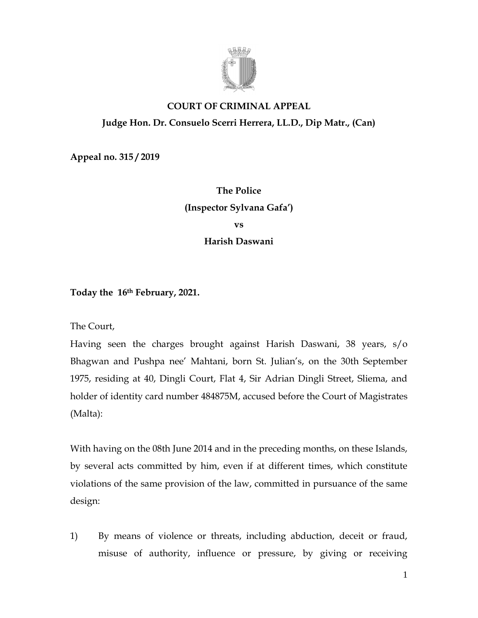

# **COURT OF CRIMINAL APPEAL Judge Hon. Dr. Consuelo Scerri Herrera, LL.D., Dip Matr., (Can)**

**Appeal no. 315 / 2019**

**The Police (Inspector Sylvana Gafa') vs Harish Daswani**

**Today the 16th February, 2021.**

The Court,

Having seen the charges brought against Harish Daswani, 38 years, s/o Bhagwan and Pushpa nee' Mahtani, born St. Julian's, on the 30th September 1975, residing at 40, Dingli Court, Flat 4, Sir Adrian Dingli Street, Sliema, and holder of identity card number 484875M, accused before the Court of Magistrates (Malta):

With having on the 08th June 2014 and in the preceding months, on these Islands, by several acts committed by him, even if at different times, which constitute violations of the same provision of the law, committed in pursuance of the same design:

1) By means of violence or threats, including abduction, deceit or fraud, misuse of authority, influence or pressure, by giving or receiving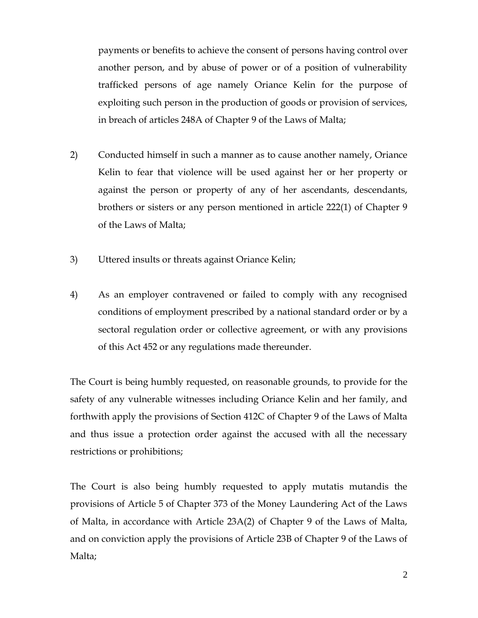payments or benefits to achieve the consent of persons having control over another person, and by abuse of power or of a position of vulnerability trafficked persons of age namely Oriance Kelin for the purpose of exploiting such person in the production of goods or provision of services, in breach of articles 248A of Chapter 9 of the Laws of Malta;

- 2) Conducted himself in such a manner as to cause another namely, Oriance Kelin to fear that violence will be used against her or her property or against the person or property of any of her ascendants, descendants, brothers or sisters or any person mentioned in article 222(1) of Chapter 9 of the Laws of Malta;
- 3) Uttered insults or threats against Oriance Kelin;
- 4) As an employer contravened or failed to comply with any recognised conditions of employment prescribed by a national standard order or by a sectoral regulation order or collective agreement, or with any provisions of this Act 452 or any regulations made thereunder.

The Court is being humbly requested, on reasonable grounds, to provide for the safety of any vulnerable witnesses including Oriance Kelin and her family, and forthwith apply the provisions of Section 412C of Chapter 9 of the Laws of Malta and thus issue a protection order against the accused with all the necessary restrictions or prohibitions;

The Court is also being humbly requested to apply mutatis mutandis the provisions of Article 5 of Chapter 373 of the Money Laundering Act of the Laws of Malta, in accordance with Article 23A(2) of Chapter 9 of the Laws of Malta, and on conviction apply the provisions of Article 23B of Chapter 9 of the Laws of Malta;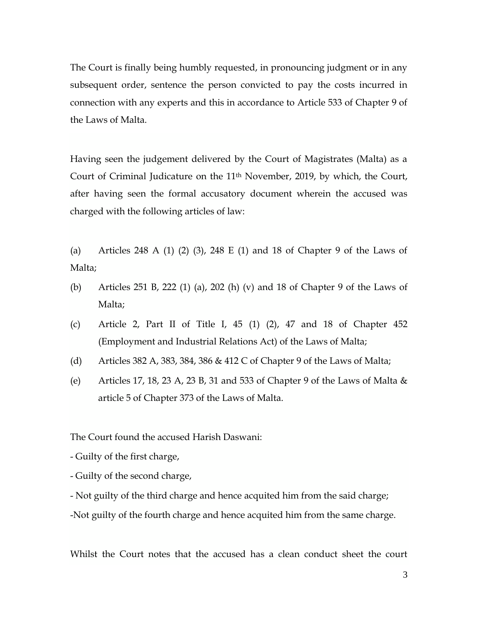The Court is finally being humbly requested, in pronouncing judgment or in any subsequent order, sentence the person convicted to pay the costs incurred in connection with any experts and this in accordance to Article 533 of Chapter 9 of the Laws of Malta.

Having seen the judgement delivered by the Court of Magistrates (Malta) as a Court of Criminal Judicature on the  $11<sup>th</sup>$  November, 2019, by which, the Court, after having seen the formal accusatory document wherein the accused was charged with the following articles of law:

(a) Articles 248 A (1) (2) (3), 248 E (1) and 18 of Chapter 9 of the Laws of Malta;

- (b) Articles 251 B, 222 (1) (a), 202 (h) (v) and 18 of Chapter 9 of the Laws of Malta;
- (c) Article 2, Part II of Title I, 45 (1) (2), 47 and 18 of Chapter 452 (Employment and Industrial Relations Act) of the Laws of Malta;
- (d) Articles 382 A, 383, 384, 386 & 412 C of Chapter 9 of the Laws of Malta;
- (e) Articles 17, 18, 23 A, 23 B, 31 and 533 of Chapter 9 of the Laws of Malta  $\&$ article 5 of Chapter 373 of the Laws of Malta.

The Court found the accused Harish Daswani:

- Guilty of the first charge,
- Guilty of the second charge,
- Not guilty of the third charge and hence acquited him from the said charge;

-Not guilty of the fourth charge and hence acquited him from the same charge.

Whilst the Court notes that the accused has a clean conduct sheet the court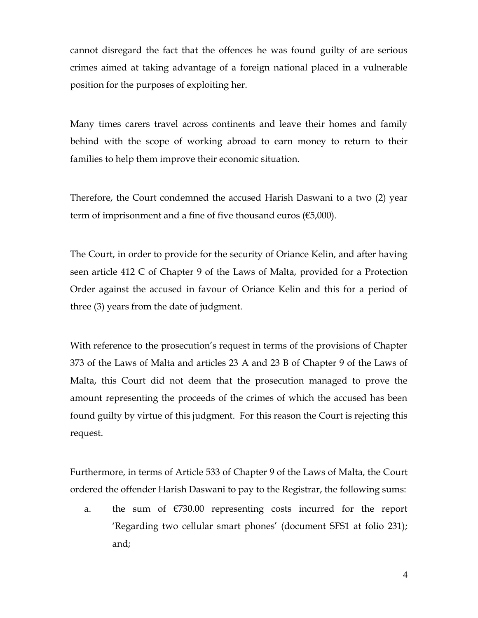cannot disregard the fact that the offences he was found guilty of are serious crimes aimed at taking advantage of a foreign national placed in a vulnerable position for the purposes of exploiting her.

Many times carers travel across continents and leave their homes and family behind with the scope of working abroad to earn money to return to their families to help them improve their economic situation.

Therefore, the Court condemned the accused Harish Daswani to a two (2) year term of imprisonment and a fine of five thousand euros  $(65,000)$ .

The Court, in order to provide for the security of Oriance Kelin, and after having seen article 412 C of Chapter 9 of the Laws of Malta, provided for a Protection Order against the accused in favour of Oriance Kelin and this for a period of three (3) years from the date of judgment.

With reference to the prosecution's request in terms of the provisions of Chapter 373 of the Laws of Malta and articles 23 A and 23 B of Chapter 9 of the Laws of Malta, this Court did not deem that the prosecution managed to prove the amount representing the proceeds of the crimes of which the accused has been found guilty by virtue of this judgment. For this reason the Court is rejecting this request.

Furthermore, in terms of Article 533 of Chapter 9 of the Laws of Malta, the Court ordered the offender Harish Daswani to pay to the Registrar, the following sums:

a. the sum of  $\epsilon$ 730.00 representing costs incurred for the report 'Regarding two cellular smart phones' (document SFS1 at folio 231); and;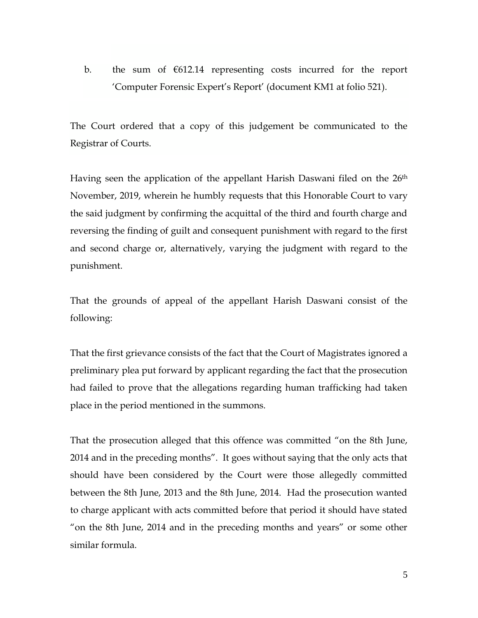b. the sum of €612.14 representing costs incurred for the report 'Computer Forensic Expert's Report' (document KM1 at folio 521).

The Court ordered that a copy of this judgement be communicated to the Registrar of Courts.

Having seen the application of the appellant Harish Daswani filed on the 26<sup>th</sup> November, 2019, wherein he humbly requests that this Honorable Court to vary the said judgment by confirming the acquittal of the third and fourth charge and reversing the finding of guilt and consequent punishment with regard to the first and second charge or, alternatively, varying the judgment with regard to the punishment.

That the grounds of appeal of the appellant Harish Daswani consist of the following:

That the first grievance consists of the fact that the Court of Magistrates ignored a preliminary plea put forward by applicant regarding the fact that the prosecution had failed to prove that the allegations regarding human trafficking had taken place in the period mentioned in the summons.

That the prosecution alleged that this offence was committed "on the 8th June, 2014 and in the preceding months". It goes without saying that the only acts that should have been considered by the Court were those allegedly committed between the 8th June, 2013 and the 8th June, 2014. Had the prosecution wanted to charge applicant with acts committed before that period it should have stated "on the 8th June, 2014 and in the preceding months and years" or some other similar formula.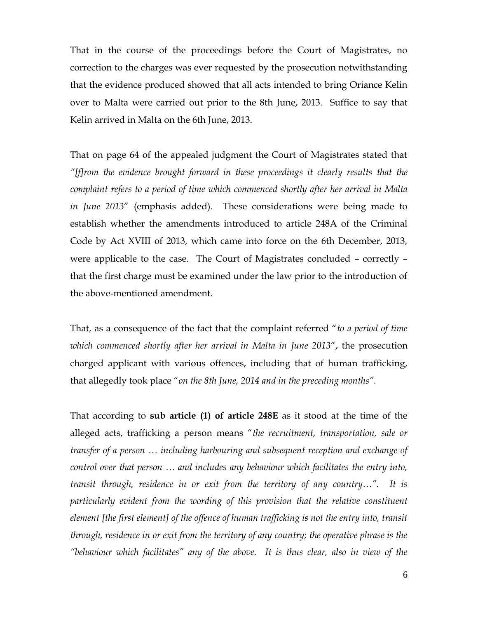That in the course of the proceedings before the Court of Magistrates, no correction to the charges was ever requested by the prosecution notwithstanding that the evidence produced showed that all acts intended to bring Oriance Kelin over to Malta were carried out prior to the 8th June, 2013. Suffice to say that Kelin arrived in Malta on the 6th June, 2013.

That on page 64 of the appealed judgment the Court of Magistrates stated that *"[f]rom the evidence brought forward in these proceedings it clearly results that the complaint refers to a period of time which commenced shortly after her arrival in Malta in June 2013*" (emphasis added). These considerations were being made to establish whether the amendments introduced to article 248A of the Criminal Code by Act XVIII of 2013, which came into force on the 6th December, 2013, were applicable to the case. The Court of Magistrates concluded – correctly – that the first charge must be examined under the law prior to the introduction of the above-mentioned amendment.

That, as a consequence of the fact that the complaint referred "*to a period of time which commenced shortly after her arrival in Malta in June 2013*", the prosecution charged applicant with various offences, including that of human trafficking, that allegedly took place "*on the 8th June, 2014 and in the preceding months".*

That according to **sub article (1) of article 248E** as it stood at the time of the alleged acts, trafficking a person means "*the recruitment, transportation, sale or transfer of a person … including harbouring and subsequent reception and exchange of control over that person … and includes any behaviour which facilitates the entry into, transit through, residence in or exit from the territory of any country…". It is particularly evident from the wording of this provision that the relative constituent element [the first element] of the offence of human trafficking is not the entry into, transit through, residence in or exit from the territory of any country; the operative phrase is the "behaviour which facilitates" any of the above. It is thus clear, also in view of the*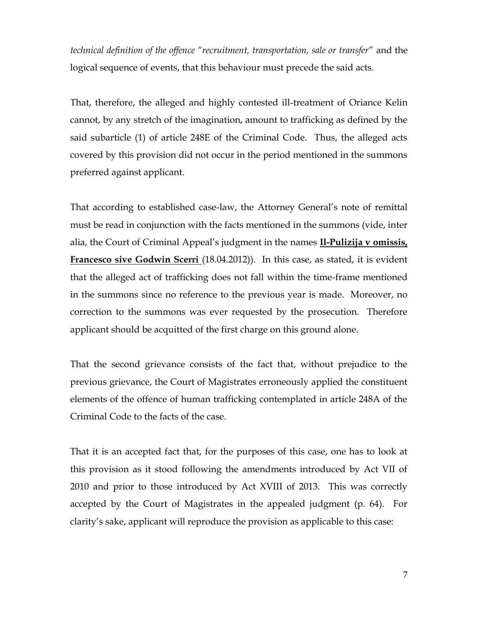*technical definition of the offence "recruitment, transportation, sale or transfer*" and the logical sequence of events, that this behaviour must precede the said acts.

That, therefore, the alleged and highly contested ill-treatment of Oriance Kelin cannot, by any stretch of the imagination, amount to trafficking as defined by the said subarticle (1) of article 248E of the Criminal Code. Thus, the alleged acts covered by this provision did not occur in the period mentioned in the summons preferred against applicant.

That according to established case-law, the Attorney General's note of remittal must be read in conjunction with the facts mentioned in the summons (vide, inter alia, the Court of Criminal Appeal's judgment in the names **Il-Pulizija v omissis, Francesco sive Godwin Scerri** (18.04.2012)). In this case, as stated, it is evident that the alleged act of trafficking does not fall within the time-frame mentioned in the summons since no reference to the previous year is made. Moreover, no correction to the summons was ever requested by the prosecution. Therefore applicant should be acquitted of the first charge on this ground alone.

That the second grievance consists of the fact that, without prejudice to the previous grievance, the Court of Magistrates erroneously applied the constituent elements of the offence of human trafficking contemplated in article 248A of the Criminal Code to the facts of the case.

That it is an accepted fact that, for the purposes of this case, one has to look at this provision as it stood following the amendments introduced by Act VII of 2010 and prior to those introduced by Act XVIII of 2013. This was correctly accepted by the Court of Magistrates in the appealed judgment (p. 64). For clarity's sake, applicant will reproduce the provision as applicable to this case: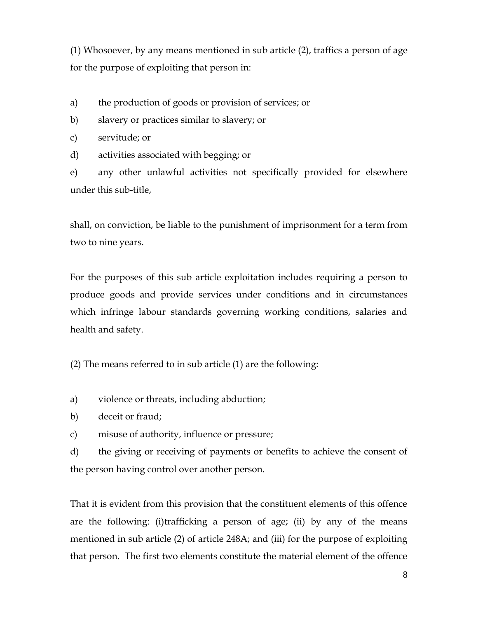(1) Whosoever, by any means mentioned in sub article (2), traffics a person of age for the purpose of exploiting that person in:

a) the production of goods or provision of services; or

b) slavery or practices similar to slavery; or

c) servitude; or

d) activities associated with begging; or

e) any other unlawful activities not specifically provided for elsewhere under this sub-title,

shall, on conviction, be liable to the punishment of imprisonment for a term from two to nine years.

For the purposes of this sub article exploitation includes requiring a person to produce goods and provide services under conditions and in circumstances which infringe labour standards governing working conditions, salaries and health and safety.

(2) The means referred to in sub article (1) are the following:

- a) violence or threats, including abduction;
- b) deceit or fraud;
- c) misuse of authority, influence or pressure;

d) the giving or receiving of payments or benefits to achieve the consent of the person having control over another person.

That it is evident from this provision that the constituent elements of this offence are the following: (i)trafficking a person of age; (ii) by any of the means mentioned in sub article (2) of article 248A; and (iii) for the purpose of exploiting that person. The first two elements constitute the material element of the offence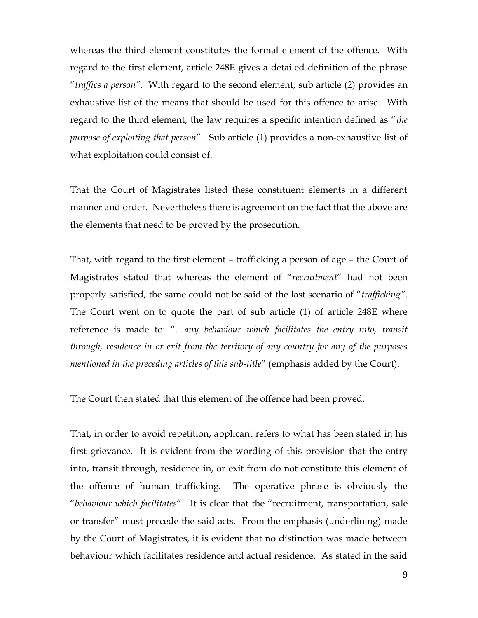whereas the third element constitutes the formal element of the offence. With regard to the first element, article 248E gives a detailed definition of the phrase "*traffics a person".* With regard to the second element, sub article (2) provides an exhaustive list of the means that should be used for this offence to arise. With regard to the third element, the law requires a specific intention defined as "*the purpose of exploiting that person*". Sub article (1) provides a non-exhaustive list of what exploitation could consist of.

That the Court of Magistrates listed these constituent elements in a different manner and order. Nevertheless there is agreement on the fact that the above are the elements that need to be proved by the prosecution.

That, with regard to the first element – trafficking a person of age – the Court of Magistrates stated that whereas the element of "*recruitment*" had not been properly satisfied, the same could not be said of the last scenario of "*trafficking"*. The Court went on to quote the part of sub article (1) of article 248E where reference is made to: "…*any behaviour which facilitates the entry into, transit through, residence in or exit from the territory of any country for any of the purposes mentioned in the preceding articles of this sub-title*" (emphasis added by the Court).

The Court then stated that this element of the offence had been proved.

That, in order to avoid repetition, applicant refers to what has been stated in his first grievance. It is evident from the wording of this provision that the entry into, transit through, residence in, or exit from do not constitute this element of the offence of human trafficking. The operative phrase is obviously the "*behaviour which facilitates*". It is clear that the "recruitment, transportation, sale or transfer" must precede the said acts. From the emphasis (underlining) made by the Court of Magistrates, it is evident that no distinction was made between behaviour which facilitates residence and actual residence. As stated in the said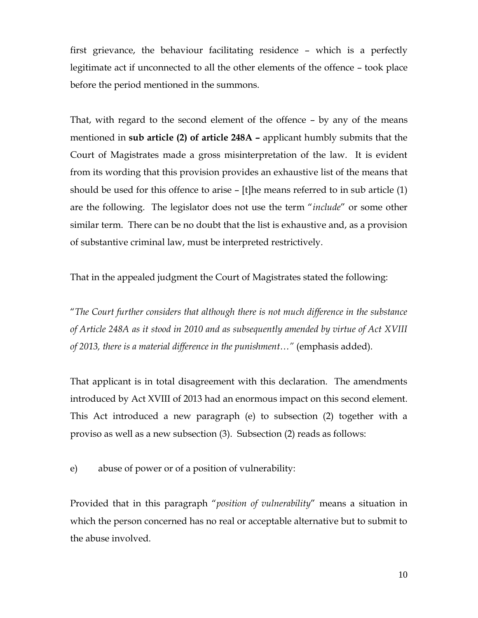first grievance, the behaviour facilitating residence – which is a perfectly legitimate act if unconnected to all the other elements of the offence – took place before the period mentioned in the summons.

That, with regard to the second element of the offence – by any of the means mentioned in **sub article (2) of article 248A –** applicant humbly submits that the Court of Magistrates made a gross misinterpretation of the law. It is evident from its wording that this provision provides an exhaustive list of the means that should be used for this offence to arise – [t]he means referred to in sub article (1) are the following. The legislator does not use the term "*include*" or some other similar term. There can be no doubt that the list is exhaustive and, as a provision of substantive criminal law, must be interpreted restrictively.

That in the appealed judgment the Court of Magistrates stated the following:

"*The Court further considers that although there is not much difference in the substance of Article 248A as it stood in 2010 and as subsequently amended by virtue of Act XVIII of 2013, there is a material difference in the punishment…"* (emphasis added).

That applicant is in total disagreement with this declaration. The amendments introduced by Act XVIII of 2013 had an enormous impact on this second element. This Act introduced a new paragraph (e) to subsection (2) together with a proviso as well as a new subsection (3). Subsection (2) reads as follows:

e) abuse of power or of a position of vulnerability:

Provided that in this paragraph "*position of vulnerability*" means a situation in which the person concerned has no real or acceptable alternative but to submit to the abuse involved.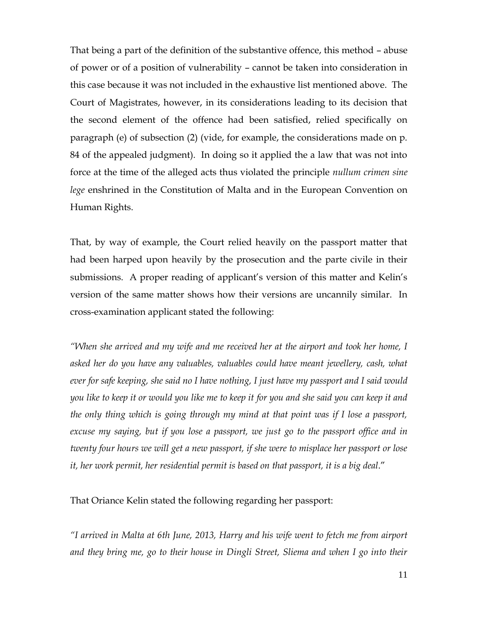That being a part of the definition of the substantive offence, this method – abuse of power or of a position of vulnerability – cannot be taken into consideration in this case because it was not included in the exhaustive list mentioned above. The Court of Magistrates, however, in its considerations leading to its decision that the second element of the offence had been satisfied, relied specifically on paragraph (e) of subsection (2) (vide, for example, the considerations made on p. 84 of the appealed judgment). In doing so it applied the a law that was not into force at the time of the alleged acts thus violated the principle *nullum crimen sine lege* enshrined in the Constitution of Malta and in the European Convention on Human Rights.

That, by way of example, the Court relied heavily on the passport matter that had been harped upon heavily by the prosecution and the parte civile in their submissions. A proper reading of applicant's version of this matter and Kelin's version of the same matter shows how their versions are uncannily similar. In cross-examination applicant stated the following:

*"When she arrived and my wife and me received her at the airport and took her home, I asked her do you have any valuables, valuables could have meant jewellery, cash, what ever for safe keeping, she said no I have nothing, I just have my passport and I said would you like to keep it or would you like me to keep it for you and she said you can keep it and the only thing which is going through my mind at that point was if I lose a passport, excuse my saying, but if you lose a passport, we just go to the passport office and in twenty four hours we will get a new passport, if she were to misplace her passport or lose it, her work permit, her residential permit is based on that passport, it is a big deal*."

That Oriance Kelin stated the following regarding her passport:

*"I arrived in Malta at 6th June, 2013, Harry and his wife went to fetch me from airport and they bring me, go to their house in Dingli Street, Sliema and when I go into their*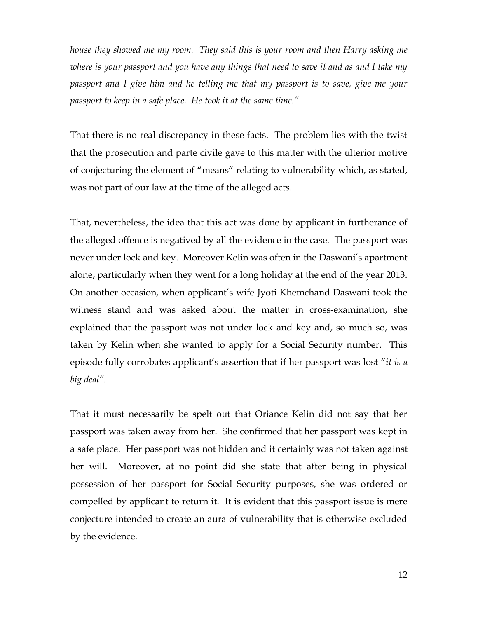*house they showed me my room. They said this is your room and then Harry asking me where is your passport and you have any things that need to save it and as and I take my passport and I give him and he telling me that my passport is to save, give me your passport to keep in a safe place. He took it at the same time."*

That there is no real discrepancy in these facts. The problem lies with the twist that the prosecution and parte civile gave to this matter with the ulterior motive of conjecturing the element of "means" relating to vulnerability which, as stated, was not part of our law at the time of the alleged acts.

That, nevertheless, the idea that this act was done by applicant in furtherance of the alleged offence is negatived by all the evidence in the case. The passport was never under lock and key. Moreover Kelin was often in the Daswani's apartment alone, particularly when they went for a long holiday at the end of the year 2013. On another occasion, when applicant's wife Jyoti Khemchand Daswani took the witness stand and was asked about the matter in cross-examination, she explained that the passport was not under lock and key and, so much so, was taken by Kelin when she wanted to apply for a Social Security number. This episode fully corrobates applicant's assertion that if her passport was lost "*it is a big deal".*

That it must necessarily be spelt out that Oriance Kelin did not say that her passport was taken away from her. She confirmed that her passport was kept in a safe place. Her passport was not hidden and it certainly was not taken against her will. Moreover, at no point did she state that after being in physical possession of her passport for Social Security purposes, she was ordered or compelled by applicant to return it. It is evident that this passport issue is mere conjecture intended to create an aura of vulnerability that is otherwise excluded by the evidence.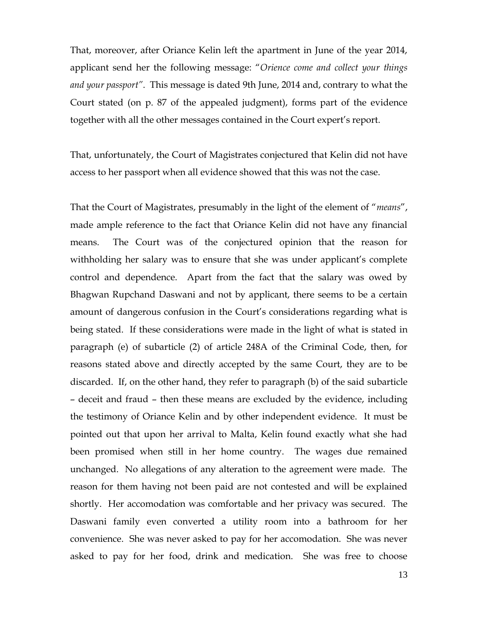That, moreover, after Oriance Kelin left the apartment in June of the year 2014, applicant send her the following message: "*Orience come and collect your things and your passport"*. This message is dated 9th June, 2014 and, contrary to what the Court stated (on p. 87 of the appealed judgment), forms part of the evidence together with all the other messages contained in the Court expert's report.

That, unfortunately, the Court of Magistrates conjectured that Kelin did not have access to her passport when all evidence showed that this was not the case.

That the Court of Magistrates, presumably in the light of the element of "*means*", made ample reference to the fact that Oriance Kelin did not have any financial means. The Court was of the conjectured opinion that the reason for withholding her salary was to ensure that she was under applicant's complete control and dependence. Apart from the fact that the salary was owed by Bhagwan Rupchand Daswani and not by applicant, there seems to be a certain amount of dangerous confusion in the Court's considerations regarding what is being stated. If these considerations were made in the light of what is stated in paragraph (e) of subarticle (2) of article 248A of the Criminal Code, then, for reasons stated above and directly accepted by the same Court, they are to be discarded. If, on the other hand, they refer to paragraph (b) of the said subarticle – deceit and fraud – then these means are excluded by the evidence, including the testimony of Oriance Kelin and by other independent evidence. It must be pointed out that upon her arrival to Malta, Kelin found exactly what she had been promised when still in her home country. The wages due remained unchanged. No allegations of any alteration to the agreement were made. The reason for them having not been paid are not contested and will be explained shortly. Her accomodation was comfortable and her privacy was secured. The Daswani family even converted a utility room into a bathroom for her convenience. She was never asked to pay for her accomodation. She was never asked to pay for her food, drink and medication. She was free to choose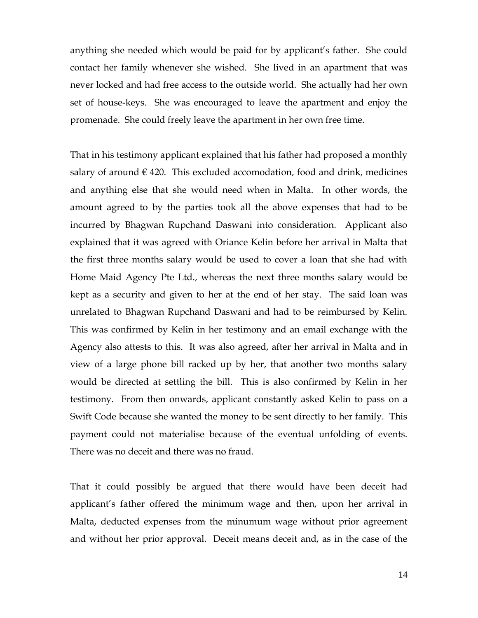anything she needed which would be paid for by applicant's father. She could contact her family whenever she wished. She lived in an apartment that was never locked and had free access to the outside world. She actually had her own set of house-keys. She was encouraged to leave the apartment and enjoy the promenade. She could freely leave the apartment in her own free time.

That in his testimony applicant explained that his father had proposed a monthly salary of around  $\epsilon$  420. This excluded accomodation, food and drink, medicines and anything else that she would need when in Malta. In other words, the amount agreed to by the parties took all the above expenses that had to be incurred by Bhagwan Rupchand Daswani into consideration. Applicant also explained that it was agreed with Oriance Kelin before her arrival in Malta that the first three months salary would be used to cover a loan that she had with Home Maid Agency Pte Ltd., whereas the next three months salary would be kept as a security and given to her at the end of her stay. The said loan was unrelated to Bhagwan Rupchand Daswani and had to be reimbursed by Kelin. This was confirmed by Kelin in her testimony and an email exchange with the Agency also attests to this. It was also agreed, after her arrival in Malta and in view of a large phone bill racked up by her, that another two months salary would be directed at settling the bill. This is also confirmed by Kelin in her testimony. From then onwards, applicant constantly asked Kelin to pass on a Swift Code because she wanted the money to be sent directly to her family. This payment could not materialise because of the eventual unfolding of events. There was no deceit and there was no fraud.

That it could possibly be argued that there would have been deceit had applicant's father offered the minimum wage and then, upon her arrival in Malta, deducted expenses from the minumum wage without prior agreement and without her prior approval. Deceit means deceit and, as in the case of the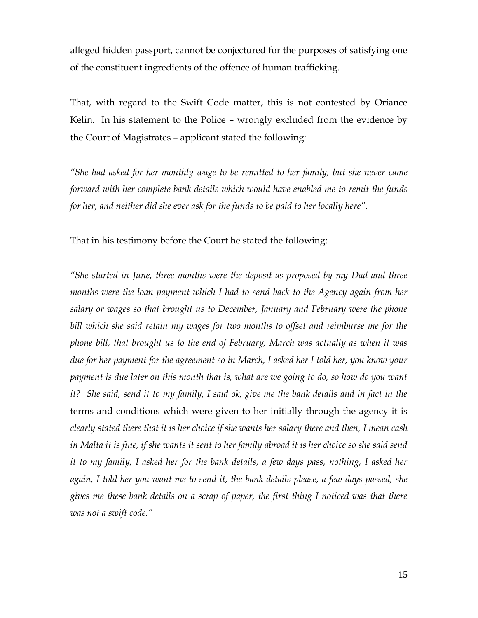alleged hidden passport, cannot be conjectured for the purposes of satisfying one of the constituent ingredients of the offence of human trafficking.

That, with regard to the Swift Code matter, this is not contested by Oriance Kelin. In his statement to the Police – wrongly excluded from the evidence by the Court of Magistrates – applicant stated the following:

*"She had asked for her monthly wage to be remitted to her family, but she never came forward with her complete bank details which would have enabled me to remit the funds for her, and neither did she ever ask for the funds to be paid to her locally here".*

That in his testimony before the Court he stated the following:

*"She started in June, three months were the deposit as proposed by my Dad and three months were the loan payment which I had to send back to the Agency again from her salary or wages so that brought us to December, January and February were the phone bill which she said retain my wages for two months to offset and reimburse me for the phone bill, that brought us to the end of February, March was actually as when it was due for her payment for the agreement so in March, I asked her I told her, you know your payment is due later on this month that is, what are we going to do, so how do you want it? She said, send it to my family, I said ok, give me the bank details and in fact in the* terms and conditions which were given to her initially through the agency it is *clearly stated there that it is her choice if she wants her salary there and then, I mean cash in Malta it is fine, if she wants it sent to her family abroad it is her choice so she said send it to my family, I asked her for the bank details, a few days pass, nothing, I asked her again, I told her you want me to send it, the bank details please, a few days passed, she gives me these bank details on a scrap of paper, the first thing I noticed was that there was not a swift code."*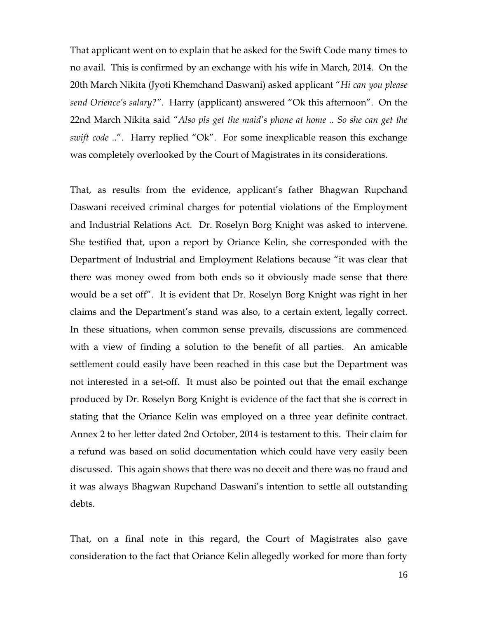That applicant went on to explain that he asked for the Swift Code many times to no avail. This is confirmed by an exchange with his wife in March, 2014. On the 20th March Nikita (Jyoti Khemchand Daswani) asked applicant "*Hi can you please send Orience's salary?".* Harry (applicant) answered "Ok this afternoon". On the 22nd March Nikita said "*Also pls get the maid's phone at home .. So she can get the swift code .."*. Harry replied "Ok". For some inexplicable reason this exchange was completely overlooked by the Court of Magistrates in its considerations.

That, as results from the evidence, applicant's father Bhagwan Rupchand Daswani received criminal charges for potential violations of the Employment and Industrial Relations Act. Dr. Roselyn Borg Knight was asked to intervene. She testified that, upon a report by Oriance Kelin, she corresponded with the Department of Industrial and Employment Relations because "it was clear that there was money owed from both ends so it obviously made sense that there would be a set off". It is evident that Dr. Roselyn Borg Knight was right in her claims and the Department's stand was also, to a certain extent, legally correct. In these situations, when common sense prevails, discussions are commenced with a view of finding a solution to the benefit of all parties. An amicable settlement could easily have been reached in this case but the Department was not interested in a set-off. It must also be pointed out that the email exchange produced by Dr. Roselyn Borg Knight is evidence of the fact that she is correct in stating that the Oriance Kelin was employed on a three year definite contract. Annex 2 to her letter dated 2nd October, 2014 is testament to this. Their claim for a refund was based on solid documentation which could have very easily been discussed. This again shows that there was no deceit and there was no fraud and it was always Bhagwan Rupchand Daswani's intention to settle all outstanding debts.

That, on a final note in this regard, the Court of Magistrates also gave consideration to the fact that Oriance Kelin allegedly worked for more than forty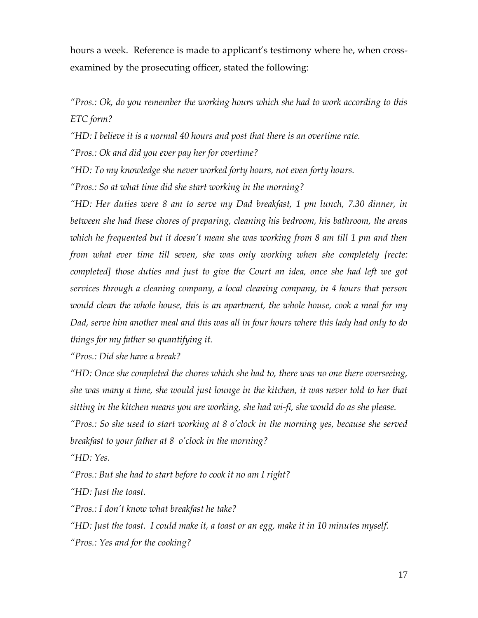hours a week. Reference is made to applicant's testimony where he, when crossexamined by the prosecuting officer, stated the following:

*"Pros.: Ok, do you remember the working hours which she had to work according to this ETC form?*

*"HD: I believe it is a normal 40 hours and post that there is an overtime rate.* 

*"Pros.: Ok and did you ever pay her for overtime?*

*"HD: To my knowledge she never worked forty hours, not even forty hours.*

*"Pros.: So at what time did she start working in the morning?*

*"HD: Her duties were 8 am to serve my Dad breakfast, 1 pm lunch, 7.30 dinner, in between she had these chores of preparing, cleaning his bedroom, his bathroom, the areas*  which he frequented but it doesn't mean she was working from 8 am till 1 pm and then *from what ever time till seven, she was only working when she completely [recte: completed] those duties and just to give the Court an idea, once she had left we got services through a cleaning company, a local cleaning company, in 4 hours that person would clean the whole house, this is an apartment, the whole house, cook a meal for my Dad, serve him another meal and this was all in four hours where this lady had only to do things for my father so quantifying it.*

*"Pros.: Did she have a break?*

*"HD: Once she completed the chores which she had to, there was no one there overseeing, she was many a time, she would just lounge in the kitchen, it was never told to her that sitting in the kitchen means you are working, she had wi-fi, she would do as she please.*

*"Pros.: So she used to start working at 8 o'clock in the morning yes, because she served breakfast to your father at 8 o'clock in the morning?*

*"HD: Yes.*

*"Pros.: But she had to start before to cook it no am I right?*

*"HD: Just the toast.*

*"Pros.: I don't know what breakfast he take?*

*"HD: Just the toast. I could make it, a toast or an egg, make it in 10 minutes myself. "Pros.: Yes and for the cooking?*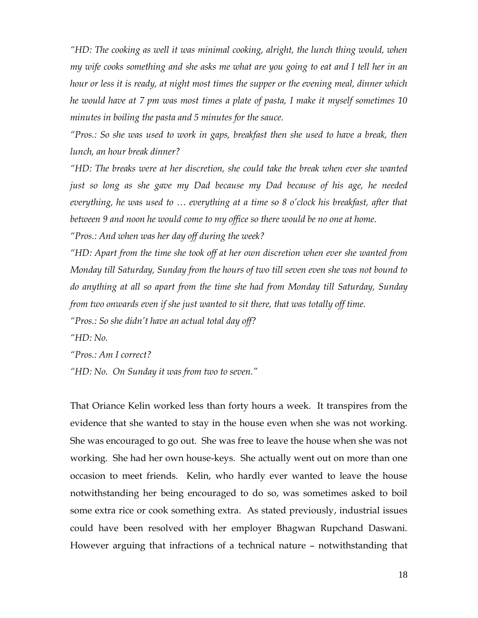*"HD: The cooking as well it was minimal cooking, alright, the lunch thing would, when my wife cooks something and she asks me what are you going to eat and I tell her in an hour or less it is ready, at night most times the supper or the evening meal, dinner which he would have at 7 pm was most times a plate of pasta, I make it myself sometimes 10 minutes in boiling the pasta and 5 minutes for the sauce.*

*"Pros.: So she was used to work in gaps, breakfast then she used to have a break, then lunch, an hour break dinner?*

*"HD: The breaks were at her discretion, she could take the break when ever she wanted just so long as she gave my Dad because my Dad because of his age, he needed everything, he was used to … everything at a time so 8 o'clock his breakfast, after that between 9 and noon he would come to my office so there would be no one at home.*

*"Pros.: And when was her day off during the week?*

*"HD: Apart from the time she took off at her own discretion when ever she wanted from Monday till Saturday, Sunday from the hours of two till seven even she was not bound to do anything at all so apart from the time she had from Monday till Saturday, Sunday from two onwards even if she just wanted to sit there, that was totally off time.*

*"Pros.: So she didn't have an actual total day off?*

*"HD: No.*

*"Pros.: Am I correct?*

*"HD: No. On Sunday it was from two to seven."*

That Oriance Kelin worked less than forty hours a week. It transpires from the evidence that she wanted to stay in the house even when she was not working. She was encouraged to go out. She was free to leave the house when she was not working. She had her own house-keys. She actually went out on more than one occasion to meet friends. Kelin, who hardly ever wanted to leave the house notwithstanding her being encouraged to do so, was sometimes asked to boil some extra rice or cook something extra. As stated previously, industrial issues could have been resolved with her employer Bhagwan Rupchand Daswani. However arguing that infractions of a technical nature – notwithstanding that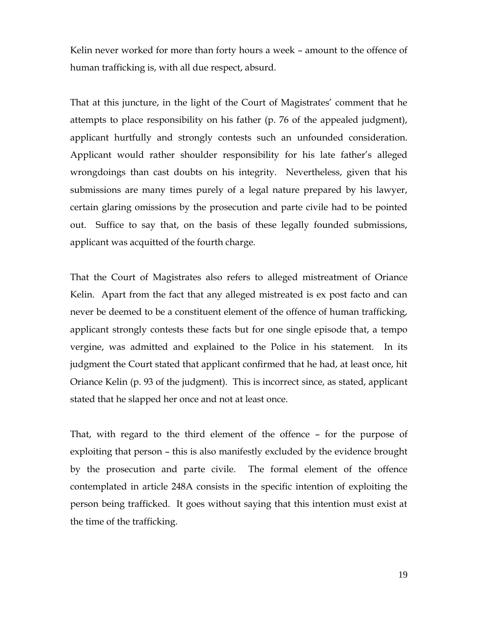Kelin never worked for more than forty hours a week – amount to the offence of human trafficking is, with all due respect, absurd.

That at this juncture, in the light of the Court of Magistrates' comment that he attempts to place responsibility on his father (p. 76 of the appealed judgment), applicant hurtfully and strongly contests such an unfounded consideration. Applicant would rather shoulder responsibility for his late father's alleged wrongdoings than cast doubts on his integrity. Nevertheless, given that his submissions are many times purely of a legal nature prepared by his lawyer, certain glaring omissions by the prosecution and parte civile had to be pointed out. Suffice to say that, on the basis of these legally founded submissions, applicant was acquitted of the fourth charge.

That the Court of Magistrates also refers to alleged mistreatment of Oriance Kelin. Apart from the fact that any alleged mistreated is ex post facto and can never be deemed to be a constituent element of the offence of human trafficking, applicant strongly contests these facts but for one single episode that, a tempo vergine, was admitted and explained to the Police in his statement. In its judgment the Court stated that applicant confirmed that he had, at least once, hit Oriance Kelin (p. 93 of the judgment). This is incorrect since, as stated, applicant stated that he slapped her once and not at least once.

That, with regard to the third element of the offence – for the purpose of exploiting that person – this is also manifestly excluded by the evidence brought by the prosecution and parte civile. The formal element of the offence contemplated in article 248A consists in the specific intention of exploiting the person being trafficked. It goes without saying that this intention must exist at the time of the trafficking.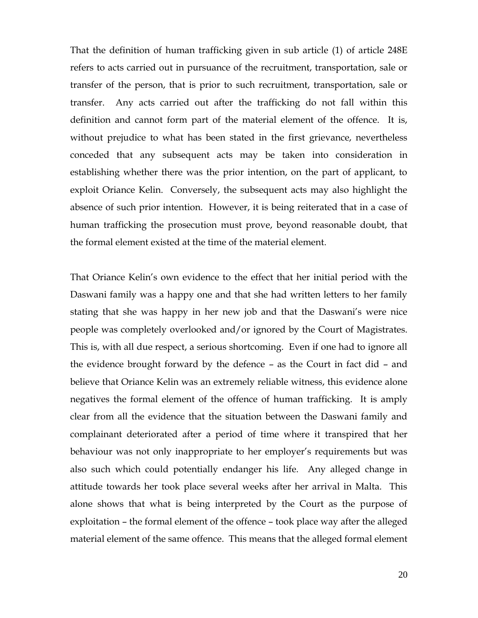That the definition of human trafficking given in sub article (1) of article 248E refers to acts carried out in pursuance of the recruitment, transportation, sale or transfer of the person, that is prior to such recruitment, transportation, sale or transfer. Any acts carried out after the trafficking do not fall within this definition and cannot form part of the material element of the offence. It is, without prejudice to what has been stated in the first grievance, nevertheless conceded that any subsequent acts may be taken into consideration in establishing whether there was the prior intention, on the part of applicant, to exploit Oriance Kelin. Conversely, the subsequent acts may also highlight the absence of such prior intention. However, it is being reiterated that in a case of human trafficking the prosecution must prove, beyond reasonable doubt, that the formal element existed at the time of the material element.

That Oriance Kelin's own evidence to the effect that her initial period with the Daswani family was a happy one and that she had written letters to her family stating that she was happy in her new job and that the Daswani's were nice people was completely overlooked and/or ignored by the Court of Magistrates. This is, with all due respect, a serious shortcoming. Even if one had to ignore all the evidence brought forward by the defence – as the Court in fact did – and believe that Oriance Kelin was an extremely reliable witness, this evidence alone negatives the formal element of the offence of human trafficking. It is amply clear from all the evidence that the situation between the Daswani family and complainant deteriorated after a period of time where it transpired that her behaviour was not only inappropriate to her employer's requirements but was also such which could potentially endanger his life. Any alleged change in attitude towards her took place several weeks after her arrival in Malta. This alone shows that what is being interpreted by the Court as the purpose of exploitation – the formal element of the offence – took place way after the alleged material element of the same offence. This means that the alleged formal element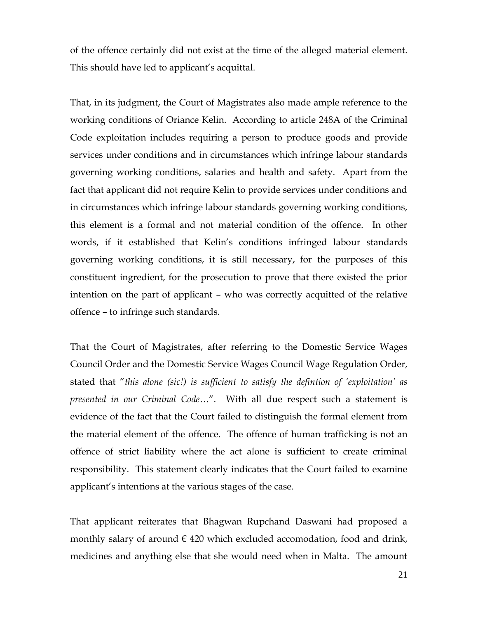of the offence certainly did not exist at the time of the alleged material element. This should have led to applicant's acquittal.

That, in its judgment, the Court of Magistrates also made ample reference to the working conditions of Oriance Kelin. According to article 248A of the Criminal Code exploitation includes requiring a person to produce goods and provide services under conditions and in circumstances which infringe labour standards governing working conditions, salaries and health and safety. Apart from the fact that applicant did not require Kelin to provide services under conditions and in circumstances which infringe labour standards governing working conditions, this element is a formal and not material condition of the offence. In other words, if it established that Kelin's conditions infringed labour standards governing working conditions, it is still necessary, for the purposes of this constituent ingredient, for the prosecution to prove that there existed the prior intention on the part of applicant – who was correctly acquitted of the relative offence – to infringe such standards.

That the Court of Magistrates, after referring to the Domestic Service Wages Council Order and the Domestic Service Wages Council Wage Regulation Order, stated that "*this alone (sic!) is sufficient to satisfy the defintion of 'exploitation' as presented in our Criminal Code*…". With all due respect such a statement is evidence of the fact that the Court failed to distinguish the formal element from the material element of the offence. The offence of human trafficking is not an offence of strict liability where the act alone is sufficient to create criminal responsibility. This statement clearly indicates that the Court failed to examine applicant's intentions at the various stages of the case.

That applicant reiterates that Bhagwan Rupchand Daswani had proposed a monthly salary of around  $\epsilon$  420 which excluded accomodation, food and drink, medicines and anything else that she would need when in Malta. The amount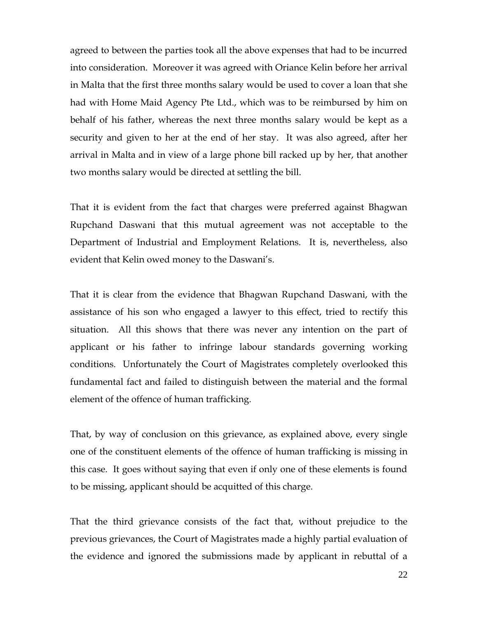agreed to between the parties took all the above expenses that had to be incurred into consideration. Moreover it was agreed with Oriance Kelin before her arrival in Malta that the first three months salary would be used to cover a loan that she had with Home Maid Agency Pte Ltd., which was to be reimbursed by him on behalf of his father, whereas the next three months salary would be kept as a security and given to her at the end of her stay. It was also agreed, after her arrival in Malta and in view of a large phone bill racked up by her, that another two months salary would be directed at settling the bill.

That it is evident from the fact that charges were preferred against Bhagwan Rupchand Daswani that this mutual agreement was not acceptable to the Department of Industrial and Employment Relations. It is, nevertheless, also evident that Kelin owed money to the Daswani's.

That it is clear from the evidence that Bhagwan Rupchand Daswani, with the assistance of his son who engaged a lawyer to this effect, tried to rectify this situation. All this shows that there was never any intention on the part of applicant or his father to infringe labour standards governing working conditions. Unfortunately the Court of Magistrates completely overlooked this fundamental fact and failed to distinguish between the material and the formal element of the offence of human trafficking.

That, by way of conclusion on this grievance, as explained above, every single one of the constituent elements of the offence of human trafficking is missing in this case. It goes without saying that even if only one of these elements is found to be missing, applicant should be acquitted of this charge.

That the third grievance consists of the fact that, without prejudice to the previous grievances, the Court of Magistrates made a highly partial evaluation of the evidence and ignored the submissions made by applicant in rebuttal of a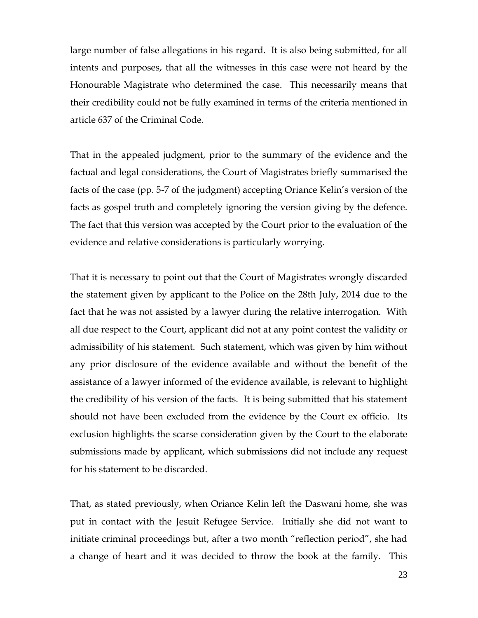large number of false allegations in his regard. It is also being submitted, for all intents and purposes, that all the witnesses in this case were not heard by the Honourable Magistrate who determined the case. This necessarily means that their credibility could not be fully examined in terms of the criteria mentioned in article 637 of the Criminal Code.

That in the appealed judgment, prior to the summary of the evidence and the factual and legal considerations, the Court of Magistrates briefly summarised the facts of the case (pp. 5-7 of the judgment) accepting Oriance Kelin's version of the facts as gospel truth and completely ignoring the version giving by the defence. The fact that this version was accepted by the Court prior to the evaluation of the evidence and relative considerations is particularly worrying.

That it is necessary to point out that the Court of Magistrates wrongly discarded the statement given by applicant to the Police on the 28th July, 2014 due to the fact that he was not assisted by a lawyer during the relative interrogation. With all due respect to the Court, applicant did not at any point contest the validity or admissibility of his statement. Such statement, which was given by him without any prior disclosure of the evidence available and without the benefit of the assistance of a lawyer informed of the evidence available, is relevant to highlight the credibility of his version of the facts. It is being submitted that his statement should not have been excluded from the evidence by the Court ex officio. Its exclusion highlights the scarse consideration given by the Court to the elaborate submissions made by applicant, which submissions did not include any request for his statement to be discarded.

That, as stated previously, when Oriance Kelin left the Daswani home, she was put in contact with the Jesuit Refugee Service. Initially she did not want to initiate criminal proceedings but, after a two month "reflection period", she had a change of heart and it was decided to throw the book at the family. This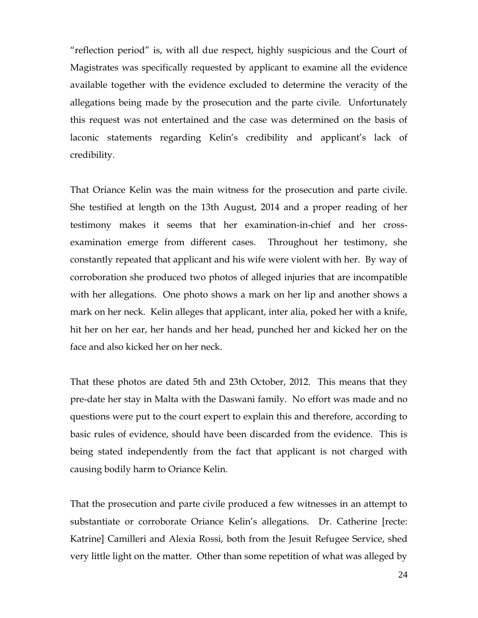"reflection period" is, with all due respect, highly suspicious and the Court of Magistrates was specifically requested by applicant to examine all the evidence available together with the evidence excluded to determine the veracity of the allegations being made by the prosecution and the parte civile. Unfortunately this request was not entertained and the case was determined on the basis of laconic statements regarding Kelin's credibility and applicant's lack of credibility.

That Oriance Kelin was the main witness for the prosecution and parte civile. She testified at length on the 13th August, 2014 and a proper reading of her testimony makes it seems that her examination-in-chief and her crossexamination emerge from different cases. Throughout her testimony, she constantly repeated that applicant and his wife were violent with her. By way of corroboration she produced two photos of alleged injuries that are incompatible with her allegations. One photo shows a mark on her lip and another shows a mark on her neck. Kelin alleges that applicant, inter alia, poked her with a knife, hit her on her ear, her hands and her head, punched her and kicked her on the face and also kicked her on her neck.

That these photos are dated 5th and 23th October, 2012. This means that they pre-date her stay in Malta with the Daswani family. No effort was made and no questions were put to the court expert to explain this and therefore, according to basic rules of evidence, should have been discarded from the evidence. This is being stated independently from the fact that applicant is not charged with causing bodily harm to Oriance Kelin.

That the prosecution and parte civile produced a few witnesses in an attempt to substantiate or corroborate Oriance Kelin's allegations. Dr. Catherine [recte: Katrine] Camilleri and Alexia Rossi, both from the Jesuit Refugee Service, shed very little light on the matter. Other than some repetition of what was alleged by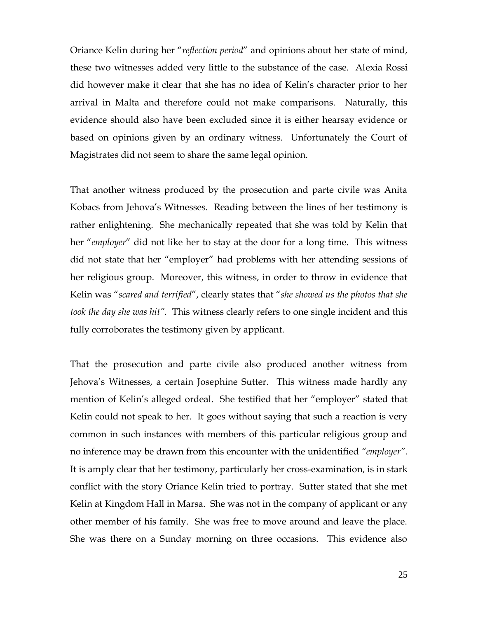Oriance Kelin during her "*reflection period*" and opinions about her state of mind, these two witnesses added very little to the substance of the case. Alexia Rossi did however make it clear that she has no idea of Kelin's character prior to her arrival in Malta and therefore could not make comparisons. Naturally, this evidence should also have been excluded since it is either hearsay evidence or based on opinions given by an ordinary witness. Unfortunately the Court of Magistrates did not seem to share the same legal opinion.

That another witness produced by the prosecution and parte civile was Anita Kobacs from Jehova's Witnesses. Reading between the lines of her testimony is rather enlightening. She mechanically repeated that she was told by Kelin that her "*employer*" did not like her to stay at the door for a long time. This witness did not state that her "employer" had problems with her attending sessions of her religious group. Moreover, this witness, in order to throw in evidence that Kelin was "*scared and terrified*", clearly states that "*she showed us the photos that she took the day she was hit".* This witness clearly refers to one single incident and this fully corroborates the testimony given by applicant.

That the prosecution and parte civile also produced another witness from Jehova's Witnesses, a certain Josephine Sutter. This witness made hardly any mention of Kelin's alleged ordeal. She testified that her "employer" stated that Kelin could not speak to her. It goes without saying that such a reaction is very common in such instances with members of this particular religious group and no inference may be drawn from this encounter with the unidentified *"employer".* It is amply clear that her testimony, particularly her cross-examination, is in stark conflict with the story Oriance Kelin tried to portray. Sutter stated that she met Kelin at Kingdom Hall in Marsa. She was not in the company of applicant or any other member of his family. She was free to move around and leave the place. She was there on a Sunday morning on three occasions. This evidence also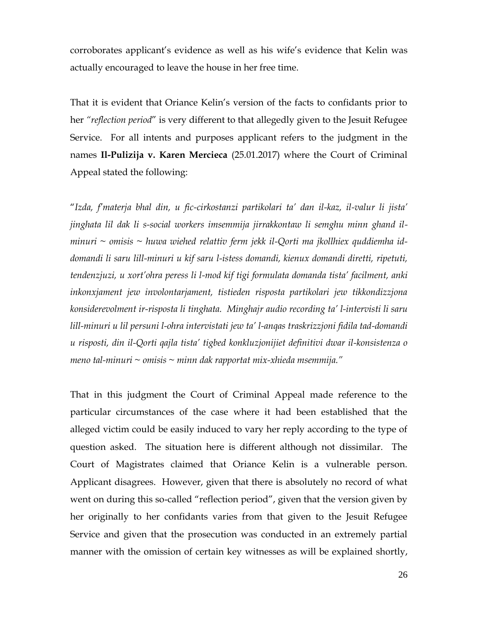corroborates applicant's evidence as well as his wife's evidence that Kelin was actually encouraged to leave the house in her free time.

That it is evident that Oriance Kelin's version of the facts to confidants prior to her *"reflection period*" is very different to that allegedly given to the Jesuit Refugee Service. For all intents and purposes applicant refers to the judgment in the names **Il-Pulizija v. Karen Mercieca** (25.01.2017) where the Court of Criminal Appeal stated the following:

"*Izda, f'materja bhal din, u fic-cirkostanzi partikolari ta' dan il-kaz, il-valur li jista' jinghata lil dak li s-social workers imsemmija jirrakkontaw li semghu minn ghand ilminuri ~ omisis ~ huwa wiehed relattiv ferm jekk il-Qorti ma jkollhiex quddiemha iddomandi li saru lill-minuri u kif saru l-istess domandi, kienux domandi diretti, ripetuti, tendenzjuzi, u xort'ohra peress li l-mod kif tigi formulata domanda tista' facilment, anki inkonxjament jew involontarjament, tistieden risposta partikolari jew tikkondizzjona konsiderevolment ir-risposta li tinghata. Minghajr audio recording ta' l-intervisti li saru lill-minuri u lil persuni l-ohra intervistati jew ta' l-anqas traskrizzjoni fidila tad-domandi u risposti, din il-Qorti qajla tista' tigbed konkluzjonijiet definitivi dwar il-konsistenza o meno tal-minuri ~ omisis ~ minn dak rapportat mix-xhieda msemmija."*

That in this judgment the Court of Criminal Appeal made reference to the particular circumstances of the case where it had been established that the alleged victim could be easily induced to vary her reply according to the type of question asked. The situation here is different although not dissimilar. The Court of Magistrates claimed that Oriance Kelin is a vulnerable person. Applicant disagrees. However, given that there is absolutely no record of what went on during this so-called "reflection period", given that the version given by her originally to her confidants varies from that given to the Jesuit Refugee Service and given that the prosecution was conducted in an extremely partial manner with the omission of certain key witnesses as will be explained shortly,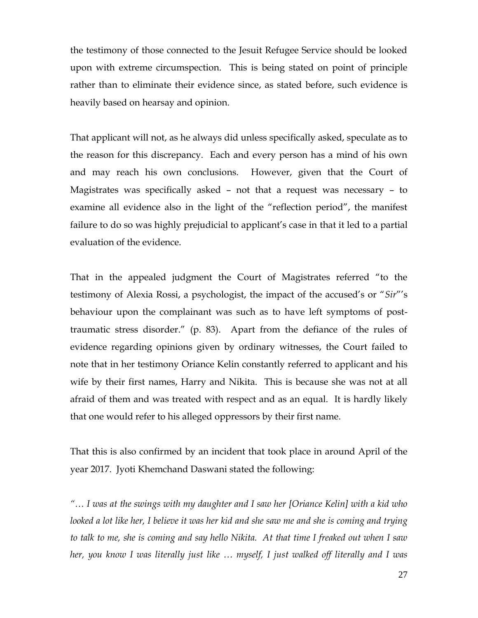the testimony of those connected to the Jesuit Refugee Service should be looked upon with extreme circumspection. This is being stated on point of principle rather than to eliminate their evidence since, as stated before, such evidence is heavily based on hearsay and opinion.

That applicant will not, as he always did unless specifically asked, speculate as to the reason for this discrepancy. Each and every person has a mind of his own and may reach his own conclusions. However, given that the Court of Magistrates was specifically asked – not that a request was necessary – to examine all evidence also in the light of the "reflection period", the manifest failure to do so was highly prejudicial to applicant's case in that it led to a partial evaluation of the evidence.

That in the appealed judgment the Court of Magistrates referred "to the testimony of Alexia Rossi, a psychologist, the impact of the accused's or "*Sir*"'s behaviour upon the complainant was such as to have left symptoms of posttraumatic stress disorder." (p. 83). Apart from the defiance of the rules of evidence regarding opinions given by ordinary witnesses, the Court failed to note that in her testimony Oriance Kelin constantly referred to applicant and his wife by their first names, Harry and Nikita. This is because she was not at all afraid of them and was treated with respect and as an equal. It is hardly likely that one would refer to his alleged oppressors by their first name.

That this is also confirmed by an incident that took place in around April of the year 2017. Jyoti Khemchand Daswani stated the following:

*"… I was at the swings with my daughter and I saw her [Oriance Kelin] with a kid who looked a lot like her, I believe it was her kid and she saw me and she is coming and trying to talk to me, she is coming and say hello Nikita. At that time I freaked out when I saw her, you know I was literally just like … myself, I just walked off literally and I was*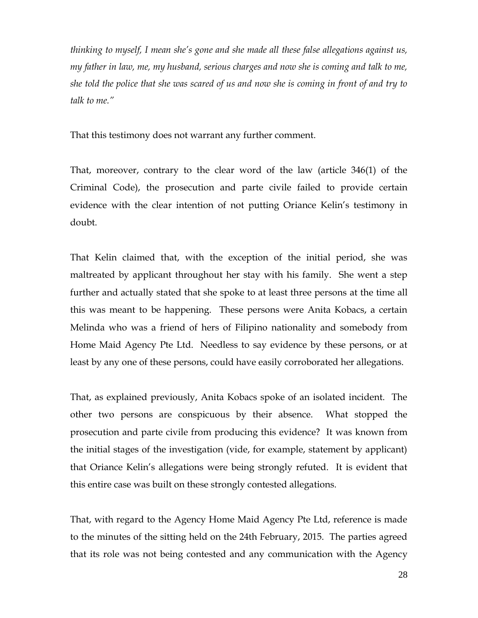*thinking to myself, I mean she's gone and she made all these false allegations against us, my father in law, me, my husband, serious charges and now she is coming and talk to me, she told the police that she was scared of us and now she is coming in front of and try to talk to me."*

That this testimony does not warrant any further comment.

That, moreover, contrary to the clear word of the law (article 346(1) of the Criminal Code), the prosecution and parte civile failed to provide certain evidence with the clear intention of not putting Oriance Kelin's testimony in doubt.

That Kelin claimed that, with the exception of the initial period, she was maltreated by applicant throughout her stay with his family. She went a step further and actually stated that she spoke to at least three persons at the time all this was meant to be happening. These persons were Anita Kobacs, a certain Melinda who was a friend of hers of Filipino nationality and somebody from Home Maid Agency Pte Ltd. Needless to say evidence by these persons, or at least by any one of these persons, could have easily corroborated her allegations.

That, as explained previously, Anita Kobacs spoke of an isolated incident. The other two persons are conspicuous by their absence. What stopped the prosecution and parte civile from producing this evidence? It was known from the initial stages of the investigation (vide, for example, statement by applicant) that Oriance Kelin's allegations were being strongly refuted. It is evident that this entire case was built on these strongly contested allegations.

That, with regard to the Agency Home Maid Agency Pte Ltd, reference is made to the minutes of the sitting held on the 24th February, 2015. The parties agreed that its role was not being contested and any communication with the Agency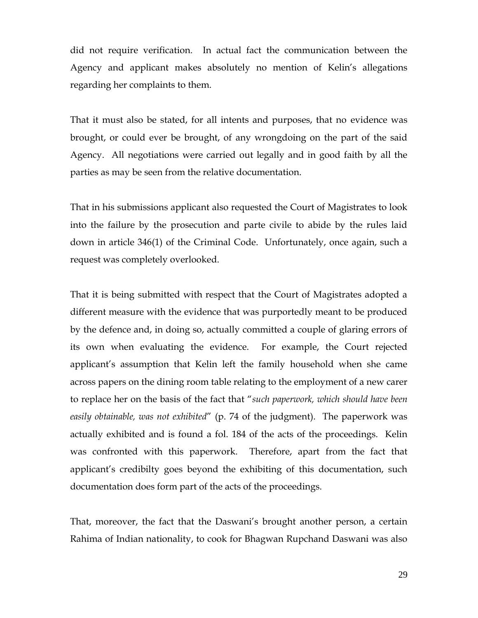did not require verification. In actual fact the communication between the Agency and applicant makes absolutely no mention of Kelin's allegations regarding her complaints to them.

That it must also be stated, for all intents and purposes, that no evidence was brought, or could ever be brought, of any wrongdoing on the part of the said Agency. All negotiations were carried out legally and in good faith by all the parties as may be seen from the relative documentation.

That in his submissions applicant also requested the Court of Magistrates to look into the failure by the prosecution and parte civile to abide by the rules laid down in article 346(1) of the Criminal Code. Unfortunately, once again, such a request was completely overlooked.

That it is being submitted with respect that the Court of Magistrates adopted a different measure with the evidence that was purportedly meant to be produced by the defence and, in doing so, actually committed a couple of glaring errors of its own when evaluating the evidence. For example, the Court rejected applicant's assumption that Kelin left the family household when she came across papers on the dining room table relating to the employment of a new carer to replace her on the basis of the fact that "*such paperwork, which should have been easily obtainable, was not exhibited*" (p. 74 of the judgment). The paperwork was actually exhibited and is found a fol. 184 of the acts of the proceedings. Kelin was confronted with this paperwork. Therefore, apart from the fact that applicant's credibilty goes beyond the exhibiting of this documentation, such documentation does form part of the acts of the proceedings.

That, moreover, the fact that the Daswani's brought another person, a certain Rahima of Indian nationality, to cook for Bhagwan Rupchand Daswani was also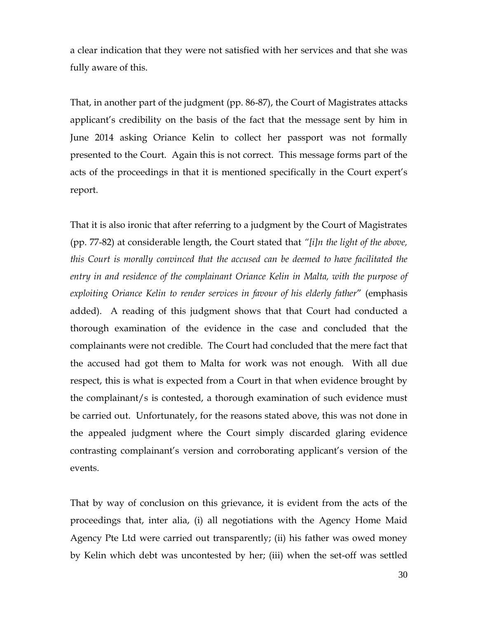a clear indication that they were not satisfied with her services and that she was fully aware of this.

That, in another part of the judgment (pp. 86-87), the Court of Magistrates attacks applicant's credibility on the basis of the fact that the message sent by him in June 2014 asking Oriance Kelin to collect her passport was not formally presented to the Court. Again this is not correct. This message forms part of the acts of the proceedings in that it is mentioned specifically in the Court expert's report.

That it is also ironic that after referring to a judgment by the Court of Magistrates (pp. 77-82) at considerable length, the Court stated that *"[i]n the light of the above, this Court is morally convinced that the accused can be deemed to have facilitated the entry in and residence of the complainant Oriance Kelin in Malta, with the purpose of exploiting Oriance Kelin to render services in favour of his elderly father*" (emphasis added). A reading of this judgment shows that that Court had conducted a thorough examination of the evidence in the case and concluded that the complainants were not credible. The Court had concluded that the mere fact that the accused had got them to Malta for work was not enough. With all due respect, this is what is expected from a Court in that when evidence brought by the complainant/s is contested, a thorough examination of such evidence must be carried out. Unfortunately, for the reasons stated above, this was not done in the appealed judgment where the Court simply discarded glaring evidence contrasting complainant's version and corroborating applicant's version of the events.

That by way of conclusion on this grievance, it is evident from the acts of the proceedings that, inter alia, (i) all negotiations with the Agency Home Maid Agency Pte Ltd were carried out transparently; (ii) his father was owed money by Kelin which debt was uncontested by her; (iii) when the set-off was settled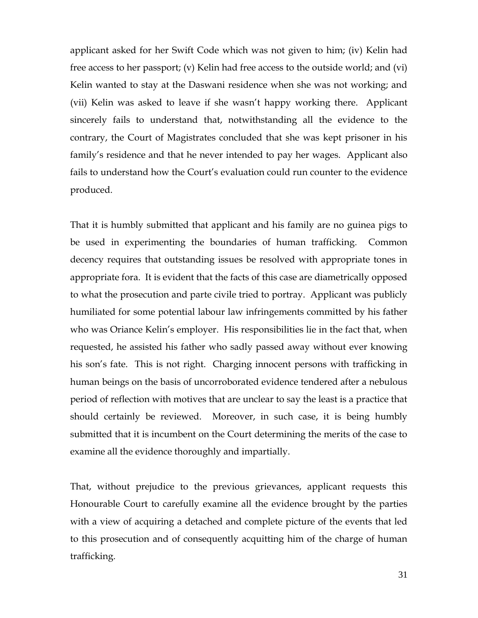applicant asked for her Swift Code which was not given to him; (iv) Kelin had free access to her passport; (v) Kelin had free access to the outside world; and (vi) Kelin wanted to stay at the Daswani residence when she was not working; and (vii) Kelin was asked to leave if she wasn't happy working there. Applicant sincerely fails to understand that, notwithstanding all the evidence to the contrary, the Court of Magistrates concluded that she was kept prisoner in his family's residence and that he never intended to pay her wages. Applicant also fails to understand how the Court's evaluation could run counter to the evidence produced.

That it is humbly submitted that applicant and his family are no guinea pigs to be used in experimenting the boundaries of human trafficking. Common decency requires that outstanding issues be resolved with appropriate tones in appropriate fora. It is evident that the facts of this case are diametrically opposed to what the prosecution and parte civile tried to portray. Applicant was publicly humiliated for some potential labour law infringements committed by his father who was Oriance Kelin's employer. His responsibilities lie in the fact that, when requested, he assisted his father who sadly passed away without ever knowing his son's fate. This is not right. Charging innocent persons with trafficking in human beings on the basis of uncorroborated evidence tendered after a nebulous period of reflection with motives that are unclear to say the least is a practice that should certainly be reviewed. Moreover, in such case, it is being humbly submitted that it is incumbent on the Court determining the merits of the case to examine all the evidence thoroughly and impartially.

That, without prejudice to the previous grievances, applicant requests this Honourable Court to carefully examine all the evidence brought by the parties with a view of acquiring a detached and complete picture of the events that led to this prosecution and of consequently acquitting him of the charge of human trafficking.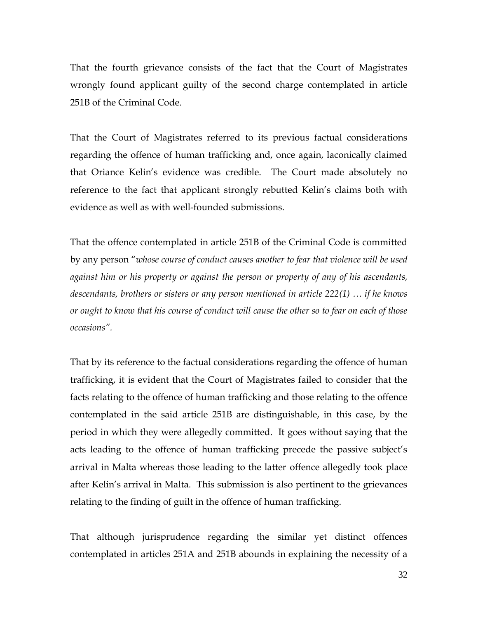That the fourth grievance consists of the fact that the Court of Magistrates wrongly found applicant guilty of the second charge contemplated in article 251B of the Criminal Code.

That the Court of Magistrates referred to its previous factual considerations regarding the offence of human trafficking and, once again, laconically claimed that Oriance Kelin's evidence was credible. The Court made absolutely no reference to the fact that applicant strongly rebutted Kelin's claims both with evidence as well as with well-founded submissions.

That the offence contemplated in article 251B of the Criminal Code is committed by any person "*whose course of conduct causes another to fear that violence will be used against him or his property or against the person or property of any of his ascendants, descendants, brothers or sisters or any person mentioned in article 222(1) … if he knows or ought to know that his course of conduct will cause the other so to fear on each of those occasions".*

That by its reference to the factual considerations regarding the offence of human trafficking, it is evident that the Court of Magistrates failed to consider that the facts relating to the offence of human trafficking and those relating to the offence contemplated in the said article 251B are distinguishable, in this case, by the period in which they were allegedly committed. It goes without saying that the acts leading to the offence of human trafficking precede the passive subject's arrival in Malta whereas those leading to the latter offence allegedly took place after Kelin's arrival in Malta. This submission is also pertinent to the grievances relating to the finding of guilt in the offence of human trafficking.

That although jurisprudence regarding the similar yet distinct offences contemplated in articles 251A and 251B abounds in explaining the necessity of a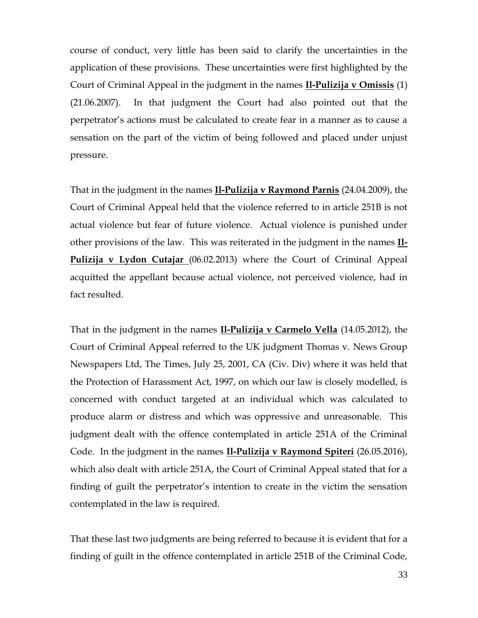course of conduct, very little has been said to clarify the uncertainties in the application of these provisions. These uncertainties were first highlighted by the Court of Criminal Appeal in the judgment in the names **Il-Pulizija v Omissis** (1) (21.06.2007). In that judgment the Court had also pointed out that the perpetrator's actions must be calculated to create fear in a manner as to cause a sensation on the part of the victim of being followed and placed under unjust pressure.

That in the judgment in the names **Il-Pulizija v Raymond Parnis** (24.04.2009), the Court of Criminal Appeal held that the violence referred to in article 251B is not actual violence but fear of future violence. Actual violence is punished under other provisions of the law. This was reiterated in the judgment in the names **Il-Pulizija v Lydon Cutajar** (06.02.2013) where the Court of Criminal Appeal acquitted the appellant because actual violence, not perceived violence, had in fact resulted.

That in the judgment in the names **Il-Pulizija v Carmelo Vella** (14.05.2012), the Court of Criminal Appeal referred to the UK judgment Thomas v. News Group Newspapers Ltd, The Times, July 25, 2001, CA (Civ. Div) where it was held that the Protection of Harassment Act, 1997, on which our law is closely modelled, is concerned with conduct targeted at an individual which was calculated to produce alarm or distress and which was oppressive and unreasonable. This judgment dealt with the offence contemplated in article 251A of the Criminal Code. In the judgment in the names **Il-Pulizija v Raymond Spiteri** (26.05.2016), which also dealt with article 251A, the Court of Criminal Appeal stated that for a finding of guilt the perpetrator's intention to create in the victim the sensation contemplated in the law is required.

That these last two judgments are being referred to because it is evident that for a finding of guilt in the offence contemplated in article 251B of the Criminal Code,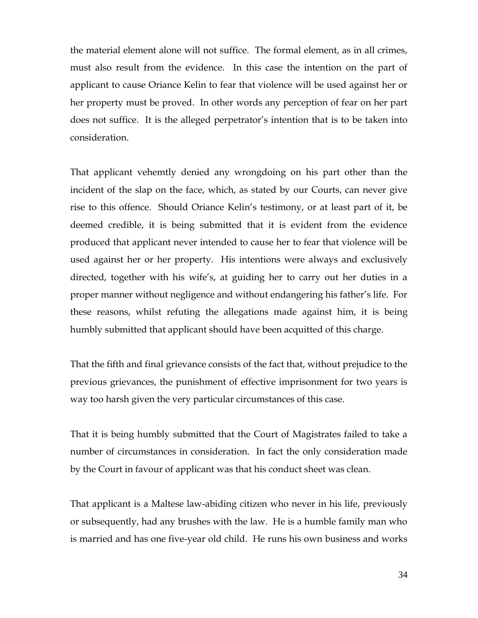the material element alone will not suffice. The formal element, as in all crimes, must also result from the evidence. In this case the intention on the part of applicant to cause Oriance Kelin to fear that violence will be used against her or her property must be proved. In other words any perception of fear on her part does not suffice. It is the alleged perpetrator's intention that is to be taken into consideration.

That applicant vehemtly denied any wrongdoing on his part other than the incident of the slap on the face, which, as stated by our Courts, can never give rise to this offence. Should Oriance Kelin's testimony, or at least part of it, be deemed credible, it is being submitted that it is evident from the evidence produced that applicant never intended to cause her to fear that violence will be used against her or her property. His intentions were always and exclusively directed, together with his wife's, at guiding her to carry out her duties in a proper manner without negligence and without endangering his father's life. For these reasons, whilst refuting the allegations made against him, it is being humbly submitted that applicant should have been acquitted of this charge.

That the fifth and final grievance consists of the fact that, without prejudice to the previous grievances, the punishment of effective imprisonment for two years is way too harsh given the very particular circumstances of this case.

That it is being humbly submitted that the Court of Magistrates failed to take a number of circumstances in consideration. In fact the only consideration made by the Court in favour of applicant was that his conduct sheet was clean.

That applicant is a Maltese law-abiding citizen who never in his life, previously or subsequently, had any brushes with the law. He is a humble family man who is married and has one five-year old child. He runs his own business and works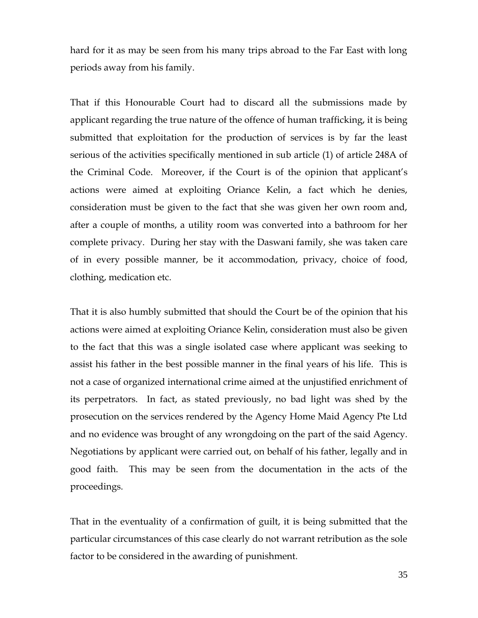hard for it as may be seen from his many trips abroad to the Far East with long periods away from his family.

That if this Honourable Court had to discard all the submissions made by applicant regarding the true nature of the offence of human trafficking, it is being submitted that exploitation for the production of services is by far the least serious of the activities specifically mentioned in sub article (1) of article 248A of the Criminal Code. Moreover, if the Court is of the opinion that applicant's actions were aimed at exploiting Oriance Kelin, a fact which he denies, consideration must be given to the fact that she was given her own room and, after a couple of months, a utility room was converted into a bathroom for her complete privacy. During her stay with the Daswani family, she was taken care of in every possible manner, be it accommodation, privacy, choice of food, clothing, medication etc.

That it is also humbly submitted that should the Court be of the opinion that his actions were aimed at exploiting Oriance Kelin, consideration must also be given to the fact that this was a single isolated case where applicant was seeking to assist his father in the best possible manner in the final years of his life. This is not a case of organized international crime aimed at the unjustified enrichment of its perpetrators. In fact, as stated previously, no bad light was shed by the prosecution on the services rendered by the Agency Home Maid Agency Pte Ltd and no evidence was brought of any wrongdoing on the part of the said Agency. Negotiations by applicant were carried out, on behalf of his father, legally and in good faith. This may be seen from the documentation in the acts of the proceedings.

That in the eventuality of a confirmation of guilt, it is being submitted that the particular circumstances of this case clearly do not warrant retribution as the sole factor to be considered in the awarding of punishment.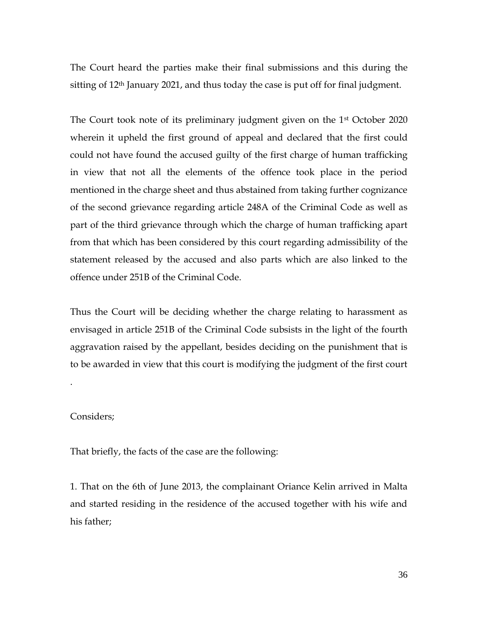The Court heard the parties make their final submissions and this during the sitting of 12th January 2021, and thus today the case is put off for final judgment.

The Court took note of its preliminary judgment given on the 1<sup>st</sup> October 2020 wherein it upheld the first ground of appeal and declared that the first could could not have found the accused guilty of the first charge of human trafficking in view that not all the elements of the offence took place in the period mentioned in the charge sheet and thus abstained from taking further cognizance of the second grievance regarding article 248A of the Criminal Code as well as part of the third grievance through which the charge of human trafficking apart from that which has been considered by this court regarding admissibility of the statement released by the accused and also parts which are also linked to the offence under 251B of the Criminal Code.

Thus the Court will be deciding whether the charge relating to harassment as envisaged in article 251B of the Criminal Code subsists in the light of the fourth aggravation raised by the appellant, besides deciding on the punishment that is to be awarded in view that this court is modifying the judgment of the first court

### Considers;

.

That briefly, the facts of the case are the following:

1. That on the 6th of June 2013, the complainant Oriance Kelin arrived in Malta and started residing in the residence of the accused together with his wife and his father;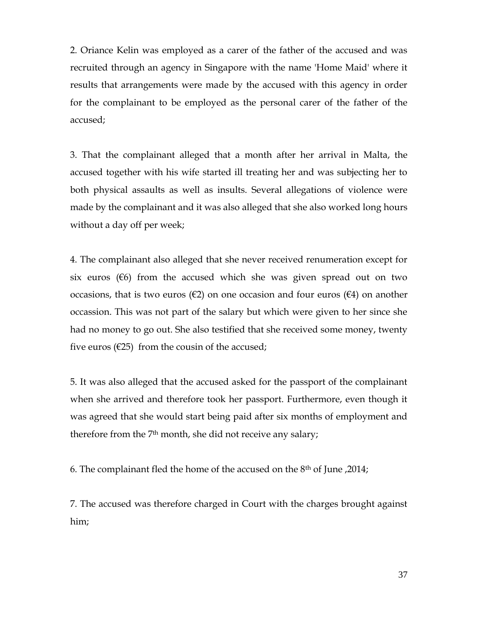2. Oriance Kelin was employed as a carer of the father of the accused and was recruited through an agency in Singapore with the name 'Home Maid' where it results that arrangements were made by the accused with this agency in order for the complainant to be employed as the personal carer of the father of the accused;

3. That the complainant alleged that a month after her arrival in Malta, the accused together with his wife started ill treating her and was subjecting her to both physical assaults as well as insults. Several allegations of violence were made by the complainant and it was also alleged that she also worked long hours without a day off per week;

4. The complainant also alleged that she never received renumeration except for six euros ( $\epsilon$ 6) from the accused which she was given spread out on two occasions, that is two euros ( $\epsilon$ 2) on one occasion and four euros ( $\epsilon$ 4) on another occassion. This was not part of the salary but which were given to her since she had no money to go out. She also testified that she received some money, twenty five euros ( $\epsilon$ 25) from the cousin of the accused;

5. It was also alleged that the accused asked for the passport of the complainant when she arrived and therefore took her passport. Furthermore, even though it was agreed that she would start being paid after six months of employment and therefore from the 7<sup>th</sup> month, she did not receive any salary;

6. The complainant fled the home of the accused on the 8th of June ,2014;

7. The accused was therefore charged in Court with the charges brought against him;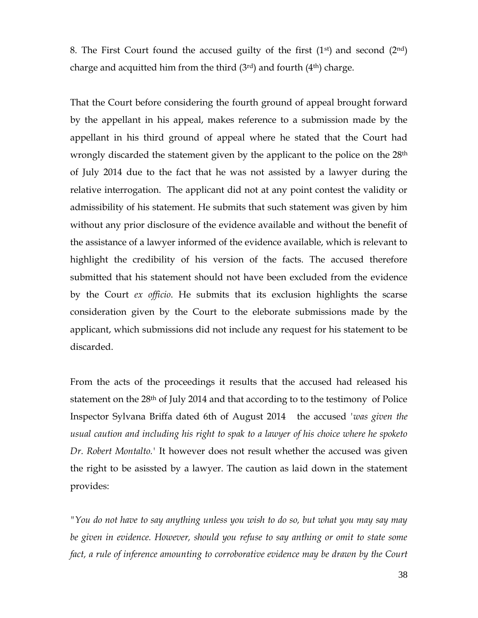8. The First Court found the accused guilty of the first  $(1<sup>st</sup>)$  and second  $(2<sup>nd</sup>)$ charge and acquitted him from the third  $(3<sup>rd</sup>)$  and fourth  $(4<sup>th</sup>)$  charge.

That the Court before considering the fourth ground of appeal brought forward by the appellant in his appeal, makes reference to a submission made by the appellant in his third ground of appeal where he stated that the Court had wrongly discarded the statement given by the applicant to the police on the 28<sup>th</sup> of July 2014 due to the fact that he was not assisted by a lawyer during the relative interrogation. The applicant did not at any point contest the validity or admissibility of his statement. He submits that such statement was given by him without any prior disclosure of the evidence available and without the benefit of the assistance of a lawyer informed of the evidence available, which is relevant to highlight the credibility of his version of the facts. The accused therefore submitted that his statement should not have been excluded from the evidence by the Court *ex officio*. He submits that its exclusion highlights the scarse consideration given by the Court to the eleborate submissions made by the applicant, which submissions did not include any request for his statement to be discarded.

From the acts of the proceedings it results that the accused had released his statement on the 28<sup>th</sup> of July 2014 and that according to to the testimony of Police Inspector Sylvana Briffa dated 6th of August 2014 the accused *'was given the usual caution and including his right to spak to a lawyer of his choice where he spoketo Dr. Robert Montalto.'* It however does not result whether the accused was given the right to be asissted by a lawyer. The caution as laid down in the statement provides:

*"You do not have to say anything unless you wish to do so, but what you may say may be given in evidence. However, should you refuse to say anthing or omit to state some fact, a rule of inference amounting to corroborative evidence may be drawn by the Court*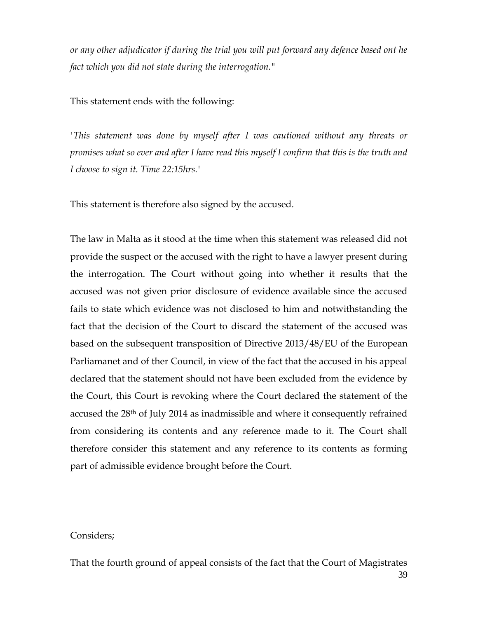*or any other adjudicator if during the trial you will put forward any defence based ont he fact which you did not state during the interrogation."*

This statement ends with the following:

*'This statement was done by myself after I was cautioned without any threats or promises what so ever and after I have read this myself I confirm that this is the truth and I choose to sign it. Time 22:15hrs.'* 

This statement is therefore also signed by the accused.

The law in Malta as it stood at the time when this statement was released did not provide the suspect or the accused with the right to have a lawyer present during the interrogation. The Court without going into whether it results that the accused was not given prior disclosure of evidence available since the accused fails to state which evidence was not disclosed to him and notwithstanding the fact that the decision of the Court to discard the statement of the accused was based on the subsequent transposition of Directive 2013/48/EU of the European Parliamanet and of ther Council, in view of the fact that the accused in his appeal declared that the statement should not have been excluded from the evidence by the Court, this Court is revoking where the Court declared the statement of the accused the 28th of July 2014 as inadmissible and where it consequently refrained from considering its contents and any reference made to it. The Court shall therefore consider this statement and any reference to its contents as forming part of admissible evidence brought before the Court.

### Considers;

39 That the fourth ground of appeal consists of the fact that the Court of Magistrates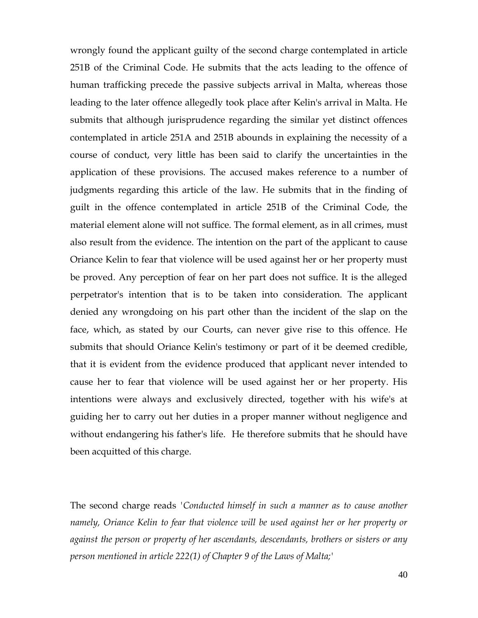wrongly found the applicant guilty of the second charge contemplated in article 251B of the Criminal Code. He submits that the acts leading to the offence of human trafficking precede the passive subjects arrival in Malta, whereas those leading to the later offence allegedly took place after Kelin's arrival in Malta. He submits that although jurisprudence regarding the similar yet distinct offences contemplated in article 251A and 251B abounds in explaining the necessity of a course of conduct, very little has been said to clarify the uncertainties in the application of these provisions. The accused makes reference to a number of judgments regarding this article of the law. He submits that in the finding of guilt in the offence contemplated in article 251B of the Criminal Code, the material element alone will not suffice. The formal element, as in all crimes, must also result from the evidence. The intention on the part of the applicant to cause Oriance Kelin to fear that violence will be used against her or her property must be proved. Any perception of fear on her part does not suffice. It is the alleged perpetrator's intention that is to be taken into consideration. The applicant denied any wrongdoing on his part other than the incident of the slap on the face, which, as stated by our Courts, can never give rise to this offence. He submits that should Oriance Kelin's testimony or part of it be deemed credible, that it is evident from the evidence produced that applicant never intended to cause her to fear that violence will be used against her or her property. His intentions were always and exclusively directed, together with his wife's at guiding her to carry out her duties in a proper manner without negligence and without endangering his father's life. He therefore submits that he should have been acquitted of this charge.

The second charge reads *'Conducted himself in such a manner as to cause another namely, Oriance Kelin to fear that violence will be used against her or her property or against the person or property of her ascendants, descendants, brothers or sisters or any person mentioned in article 222(1) of Chapter 9 of the Laws of Malta;'*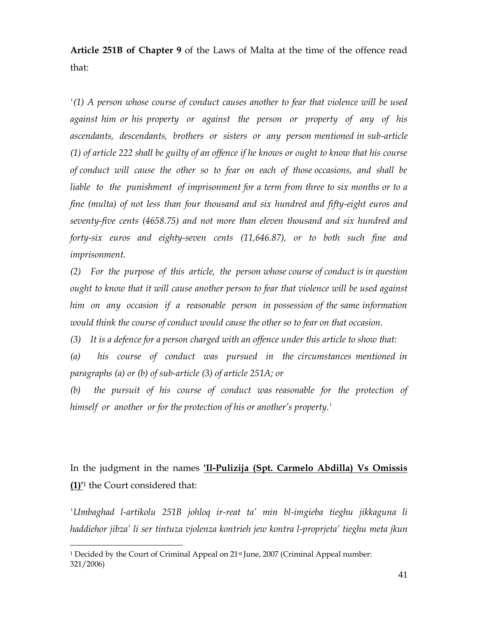**Article 251B of Chapter 9** of the Laws of Malta at the time of the offence read that:

*'(1) A person whose course of conduct causes another to fear that violence will be used against him or his property or against the person or property of any of his ascendants, descendants, brothers or sisters or any person mentioned in sub-article (1) of article 222 shall be guilty of an offence if he knows or ought to know that his course of conduct will cause the other so to fear on each of those occasions, and shall be liable to the punishment of imprisonment for a term from three to six months or to a fine (multa) of not less than four thousand and six hundred and fifty-eight euros and seventy-five cents (4658.75) and not more than eleven thousand and six hundred and forty-six euros and eighty-seven cents (11,646.87), or to both such fine and imprisonment.*

*(2) For the purpose of this article, the person whose course of conduct is in question ought to know that it will cause another person to fear that violence will be used against him on any occasion if a reasonable person in possession of the same information would think the course of conduct would cause the other so to fear on that occasion.*

*(3) It is a defence for a person charged with an offence under this article to show that:*

*(a) his course of conduct was pursued in the circumstances mentioned in paragraphs (a) or (b) of sub-article (3) of article 251A; or*

*(b) the pursuit of his course of conduct was reasonable for the protection of himself or another or for the protection of his or another's property.'*

# In the judgment in the names **'Il-Pulizija (Spt. Carmelo Abdilla) Vs Omissis (1)'**<sup>1</sup> the Court considered that:

*'Umbaghad l-artikolu 251B johloq ir-reat ta' min bl-imgieba tieghu jikkaguna li haddiehor jibza' li ser tintuza vjolenza kontrieh jew kontra l-proprjeta' tieghu meta jkun* 

 $\overline{a}$ 

<sup>&</sup>lt;sup>1</sup> Decided by the Court of Criminal Appeal on 21<sup>st</sup> June, 2007 (Criminal Appeal number: 321/2006)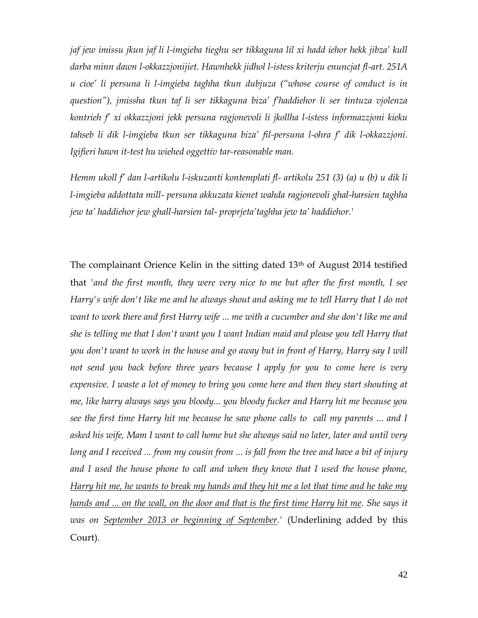*jaf jew imissu jkun jaf li l-imgieba tieghu ser tikkaguna lil xi hadd iehor hekk jibza' kull darba minn dawn l-okkazzjonijiet. Hawnhekk jidhol l-istess kriterju enuncjat fl-art. 251A u cioe' li persuna li l-imgieba taghha tkun dubjuza ("whose course of conduct is in question"), jmissha tkun taf li ser tikkaguna biza' f'haddiehor li ser tintuza vjolenza kontrieh f' xi okkazzjoni jekk persuna ragjonevoli li jkollha l-istess informazzjoni kieku tahseb li dik l-imgieba tkun ser tikkaguna biza' fil-persuna l-ohra f' dik l-okkazzjoni. Igifieri hawn it-test hu wiehed oggettiv tar-reasonable man.* 

*Hemm ukoll f' dan l-artikolu l-iskuzanti kontemplati fl- artikolu 251 (3) (a) u (b) u dik li l-imgieba addottata mill- persuna akkuzata kienet wahda ragjonevoli ghal-harsien taghha jew ta' haddiehor jew ghall-harsien tal- proprjeta'taghha jew ta' haddiehor.'* 

The complainant Orience Kelin in the sitting dated 13<sup>th</sup> of August 2014 testified that *'and the first month, they were very nice to me but after the first month, I see Harry's wife don't like me and he always shout and asking me to tell Harry that I do not want to work there and first Harry wife ... me with a cucumber and she don't like me and she is telling me that I don't want you I want Indian maid and please you tell Harry that you don't want to work in the house and go away but in front of Harry, Harry say I will*  not send you back before three years because I apply for you to come here is very *expensive. I waste a lot of money to bring you come here and then they start shouting at me, like harry always says you bloody... you bloody fucker and Harry hit me because you see the first time Harry hit me because he saw phone calls to call my parents ... and I asked his wife, Mam I want to call home but she always said no later, later and until very long and I received ... from my cousin from ... is fall from the tree and have a bit of injury and I used the house phone to call and when they know that I used the house phone, Harry hit me, he wants to break my hands and they hit me a lot that time and he take my hands and ... on the wall, on the door and that is the first time Harry hit me. She says it was on September 2013 or beginning of September.'* (Underlining added by this Court).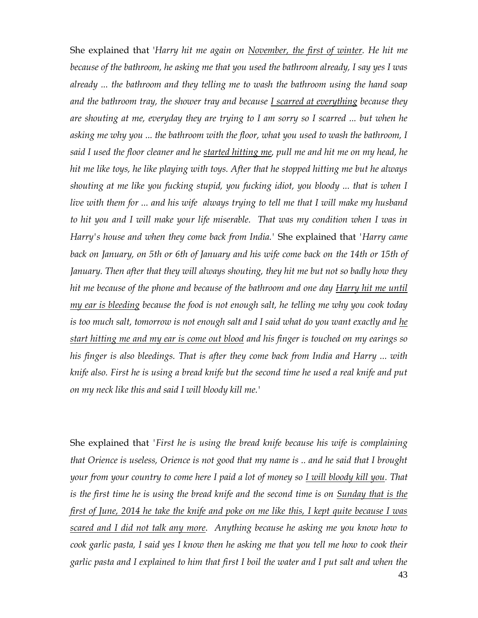She explained that '*Harry hit me again on November, the first of winter. He hit me because of the bathroom, he asking me that you used the bathroom already, I say yes I was already ... the bathroom and they telling me to wash the bathroom using the hand soap and the bathroom tray, the shower tray and because I scarred at everything because they are shouting at me, everyday they are trying to I am sorry so I scarred ... but when he asking me why you ... the bathroom with the floor, what you used to wash the bathroom, I said I used the floor cleaner and he started hitting me, pull me and hit me on my head, he hit me like toys, he like playing with toys. After that he stopped hitting me but he always shouting at me like you fucking stupid, you fucking idiot, you bloody ... that is when I live with them for ... and his wife always trying to tell me that I will make my husband to hit you and I will make your life miserable. That was my condition when I was in Harry's house and when they come back from India.'* She explained that *'Harry came back on January, on 5th or 6th of January and his wife come back on the 14th or 15th of January. Then after that they will always shouting, they hit me but not so badly how they hit me because of the phone and because of the bathroom and one day Harry hit me until my ear is bleeding because the food is not enough salt, he telling me why you cook today is too much salt, tomorrow is not enough salt and I said what do you want exactly and he start hitting me and my ear is come out blood and his finger is touched on my earings so his finger is also bleedings. That is after they come back from India and Harry ... with knife also. First he is using a bread knife but the second time he used a real knife and put on my neck like this and said I will bloody kill me.'*

She explained that *'First he is using the bread knife because his wife is complaining that Orience is useless, Orience is not good that my name is .. and he said that I brought your from your country to come here I paid a lot of money so I will bloody kill you. That is the first time he is using the bread knife and the second time is on Sunday that is the first of June, 2014 he take the knife and poke on me like this, I kept quite because I was scared and I did not talk any more. Anything because he asking me you know how to cook garlic pasta, I said yes I know then he asking me that you tell me how to cook their garlic pasta and I explained to him that first I boil the water and I put salt and when the*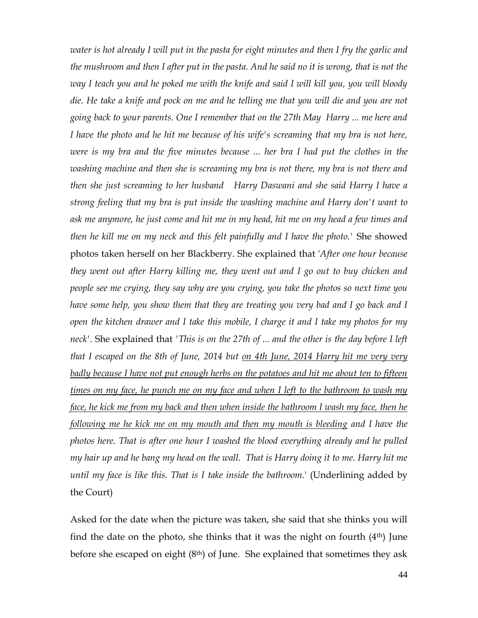*water is hot already I will put in the pasta for eight minutes and then I fry the garlic and the mushroom and then I after put in the pasta. And he said no it is wrong, that is not the way I teach you and he poked me with the knife and said I will kill you, you will bloody die. He take a knife and pock on me and he telling me that you will die and you are not going back to your parents. One I remember that on the 27th May Harry ... me here and I have the photo and he hit me because of his wife's screaming that my bra is not here, were is my bra and the five minutes because ... her bra I had put the clothes in the washing machine and then she is screaming my bra is not there, my bra is not there and then she just screaming to her husband Harry Daswani and she said Harry I have a strong feeling that my bra is put inside the washing machine and Harry don't want to ask me anymore, he just come and hit me in my head, hit me on my head a few times and then he kill me on my neck and this felt painfully and I have the photo.'* She showed photos taken herself on her Blackberry. She explained that '*After one hour because they went out after Harry killing me, they went out and I go out to buy chicken and people see me crying, they say why are you crying, you take the photos so next time you have some help, you show them that they are treating you very bad and I go back and I open the kitchen drawer and I take this mobile, I charge it and I take my photos for my neck'.* She explained that *'This is on the 27th of ... and the other is the day before I left that I escaped on the 8th of June, 2014 but on 4th June, 2014 Harry hit me very very badly because I have not put enough herbs on the potatoes and hit me about ten to fifteen times on my face, he punch me on my face and when I left to the bathroom to wash my face, he kick me from my back and then when inside the bathroom I wash my face, then he following me he kick me on my mouth and then my mouth is bleeding and I have the photos here. That is after one hour I washed the blood everything already and he pulled my hair up and he bang my head on the wall. That is Harry doing it to me. Harry hit me until my face is like this. That is I take inside the bathroom.*' (Underlining added by the Court)

Asked for the date when the picture was taken, she said that she thinks you will find the date on the photo, she thinks that it was the night on fourth (4th) June before she escaped on eight  $(8<sup>th</sup>)$  of June. She explained that sometimes they ask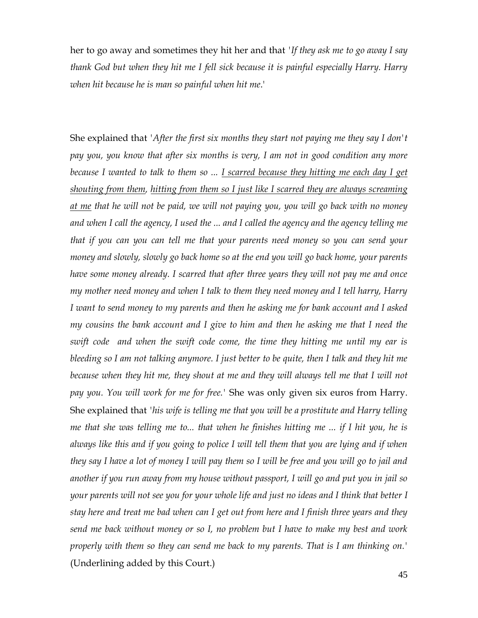her to go away and sometimes they hit her and that *'If they ask me to go away I say thank God but when they hit me I fell sick because it is painful especially Harry. Harry when hit because he is man so painful when hit me*.'

She explained that *'After the first six months they start not paying me they say I don't pay you, you know that after six months is very, I am not in good condition any more because I wanted to talk to them so ... I scarred because they hitting me each day I get shouting from them, hitting from them so I just like I scarred they are always screaming at me that he will not be paid, we will not paying you, you will go back with no money and when I call the agency, I used the ... and I called the agency and the agency telling me that if you can you can tell me that your parents need money so you can send your money and slowly, slowly go back home so at the end you will go back home, your parents have some money already. I scarred that after three years they will not pay me and once my mother need money and when I talk to them they need money and I tell harry, Harry I want to send money to my parents and then he asking me for bank account and I asked my cousins the bank account and I give to him and then he asking me that I need the swift code and when the swift code come, the time they hitting me until my ear is bleeding so I am not talking anymore. I just better to be quite, then I talk and they hit me*  because when they hit me, they shout at me and they will always tell me that I will not *pay you. You will work for me for free.'* She was only given six euros from Harry. She explained that *'his wife is telling me that you will be a prostitute and Harry telling me that she was telling me to... that when he finishes hitting me ... if I hit you, he is always like this and if you going to police I will tell them that you are lying and if when they say I have a lot of money I will pay them so I will be free and you will go to jail and another if you run away from my house without passport, I will go and put you in jail so your parents will not see you for your whole life and just no ideas and I think that better I stay here and treat me bad when can I get out from here and I finish three years and they send me back without money or so I, no problem but I have to make my best and work properly with them so they can send me back to my parents. That is I am thinking on.'* (Underlining added by this Court.)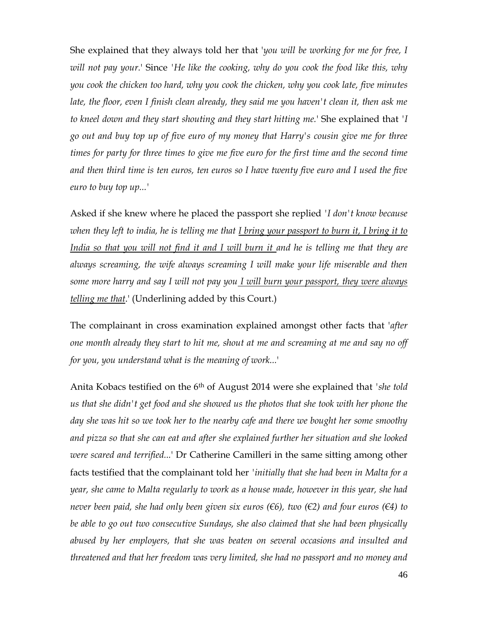She explained that they always told her that '*you will be working for me for free, I will not pay your.*' Since *'He like the cooking, why do you cook the food like this, why you cook the chicken too hard, why you cook the chicken, why you cook late, five minutes late, the floor, even I finish clean already, they said me you haven't clean it, then ask me to kneel down and they start shouting and they start hitting me.*' She explained that *'I go out and buy top up of five euro of my money that Harry's cousin give me for three times for party for three times to give me five euro for the first time and the second time and then third time is ten euros, ten euros so I have twenty five euro and I used the five euro to buy top up...'*

Asked if she knew where he placed the passport she replied *'I don't know because when they left to india, he is telling me that I bring your passport to burn it, I bring it to India so that you will not find it and I will burn it and he is telling me that they are always screaming, the wife always screaming I will make your life miserable and then some more harry and say I will not pay you I will burn your passport, they were always telling me that*.' (Underlining added by this Court.)

The complainant in cross examination explained amongst other facts that '*after one month already they start to hit me, shout at me and screaming at me and say no off for you, you understand what is the meaning of work...*'

Anita Kobacs testified on the 6th of August 2014 were she explained that *'she told us that she didn't get food and she showed us the photos that she took with her phone the day she was hit so we took her to the nearby cafe and there we bought her some smoothy and pizza so that she can eat and after she explained further her situation and she looked were scared and terrified...*' Dr Catherine Camilleri in the same sitting among other facts testified that the complainant told her *'initially that she had been in Malta for a year, she came to Malta regularly to work as a house made, however in this year, she had never been paid, she had only been given six euros (€6), two (€2) and four euros (€4) to be able to go out two consecutive Sundays, she also claimed that she had been physically abused by her employers, that she was beaten on several occasions and insulted and threatened and that her freedom was very limited, she had no passport and no money and*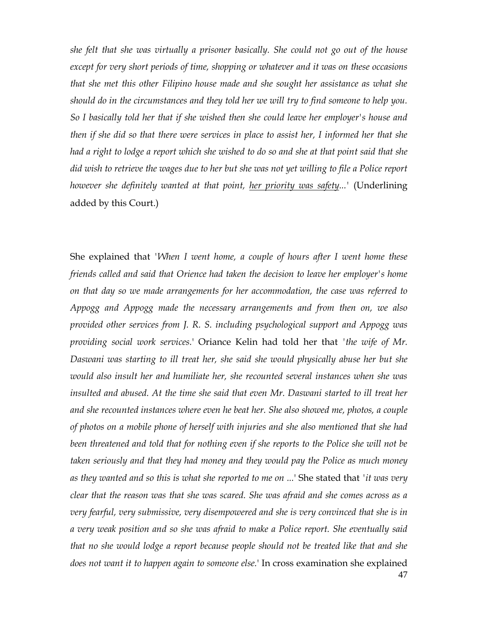*she felt that she was virtually a prisoner basically. She could not go out of the house except for very short periods of time, shopping or whatever and it was on these occasions that she met this other Filipino house made and she sought her assistance as what she should do in the circumstances and they told her we will try to find someone to help you. So I basically told her that if she wished then she could leave her employer's house and then if she did so that there were services in place to assist her, I informed her that she had a right to lodge a report which she wished to do so and she at that point said that she did wish to retrieve the wages due to her but she was not yet willing to file a Police report however she definitely wanted at that point, her priority was safety...'* (Underlining added by this Court.)

47 She explained that *'When I went home, a couple of hours after I went home these friends called and said that Orience had taken the decision to leave her employer's home on that day so we made arrangements for her accommodation, the case was referred to Appogg and Appogg made the necessary arrangements and from then on, we also provided other services from J. R. S. including psychological support and Appogg was providing social work services.*' Oriance Kelin had told her that *'the wife of Mr. Daswani was starting to ill treat her, she said she would physically abuse her but she would also insult her and humiliate her, she recounted several instances when she was insulted and abused. At the time she said that even Mr. Daswani started to ill treat her and she recounted instances where even he beat her. She also showed me, photos, a couple of photos on a mobile phone of herself with injuries and she also mentioned that she had been threatened and told that for nothing even if she reports to the Police she will not be taken seriously and that they had money and they would pay the Police as much money as they wanted and so this is what she reported to me on ...*' She stated that *'it was very clear that the reason was that she was scared. She was afraid and she comes across as a very fearful, very submissive, very disempowered and she is very convinced that she is in a very weak position and so she was afraid to make a Police report. She eventually said that no she would lodge a report because people should not be treated like that and she does not want it to happen again to someone else.*' In cross examination she explained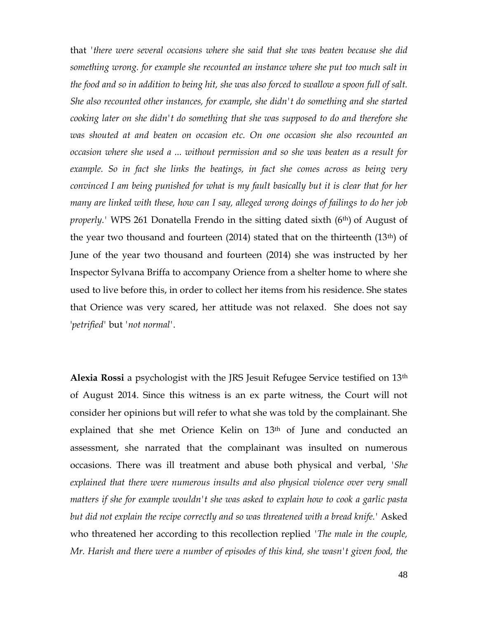that *'there were several occasions where she said that she was beaten because she did something wrong. for example she recounted an instance where she put too much salt in the food and so in addition to being hit, she was also forced to swallow a spoon full of salt. She also recounted other instances, for example, she didn't do something and she started cooking later on she didn't do something that she was supposed to do and therefore she was shouted at and beaten on occasion etc. On one occasion she also recounted an occasion where she used a ... without permission and so she was beaten as a result for example. So in fact she links the beatings, in fact she comes across as being very convinced I am being punished for what is my fault basically but it is clear that for her many are linked with these, how can I say, alleged wrong doings of failings to do her job properly.*' WPS 261 Donatella Frendo in the sitting dated sixth (6<sup>th</sup>) of August of the year two thousand and fourteen (2014) stated that on the thirteenth (13th) of June of the year two thousand and fourteen (2014) she was instructed by her Inspector Sylvana Briffa to accompany Orience from a shelter home to where she used to live before this, in order to collect her items from his residence. She states that Orience was very scared, her attitude was not relaxed. She does not say '*petrified'* but *'not normal'*.

**Alexia Rossi** a psychologist with the JRS Jesuit Refugee Service testified on 13th of August 2014. Since this witness is an ex parte witness, the Court will not consider her opinions but will refer to what she was told by the complainant. She explained that she met Orience Kelin on 13<sup>th</sup> of June and conducted an assessment, she narrated that the complainant was insulted on numerous occasions. There was ill treatment and abuse both physical and verbal, *'She explained that there were numerous insults and also physical violence over very small matters if she for example wouldn't she was asked to explain how to cook a garlic pasta but did not explain the recipe correctly and so was threatened with a bread knife.'* Asked who threatened her according to this recollection replied *'The male in the couple, Mr. Harish and there were a number of episodes of this kind, she wasn't given food, the*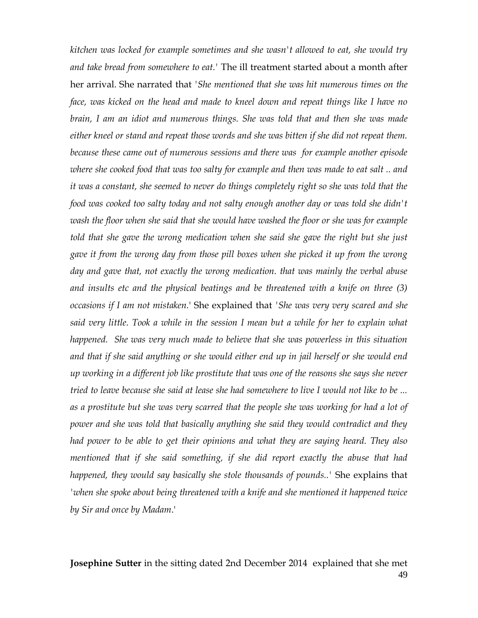*kitchen was locked for example sometimes and she wasn't allowed to eat, she would try and take bread from somewhere to eat.'* The ill treatment started about a month after her arrival. She narrated that *'She mentioned that she was hit numerous times on the face, was kicked on the head and made to kneel down and repeat things like I have no brain, I am an idiot and numerous things. She was told that and then she was made either kneel or stand and repeat those words and she was bitten if she did not repeat them. because these came out of numerous sessions and there was for example another episode where she cooked food that was too salty for example and then was made to eat salt .. and it was a constant, she seemed to never do things completely right so she was told that the food was cooked too salty today and not salty enough another day or was told she didn't wash the floor when she said that she would have washed the floor or she was for example told that she gave the wrong medication when she said she gave the right but she just gave it from the wrong day from those pill boxes when she picked it up from the wrong day and gave that, not exactly the wrong medication. that was mainly the verbal abuse and insults etc and the physical beatings and be threatened with a knife on three (3) occasions if I am not mistaken.*' She explained that *'She was very very scared and she*  said very little. Took a while in the session I mean but a while for her to explain what *happened.* She was very much made to believe that she was powerless in this situation *and that if she said anything or she would either end up in jail herself or she would end up working in a different job like prostitute that was one of the reasons she says she never tried to leave because she said at lease she had somewhere to live I would not like to be ...*  as a prostitute but she was very scarred that the people she was working for had a lot of *power and she was told that basically anything she said they would contradict and they had power to be able to get their opinions and what they are saying heard. They also mentioned that if she said something, if she did report exactly the abuse that had happened, they would say basically she stole thousands of pounds..'* She explains that *'when she spoke about being threatened with a knife and she mentioned it happened twice by Sir and once by Madam*.'

49 **Josephine Sutter** in the sitting dated 2nd December 2014 explained that she met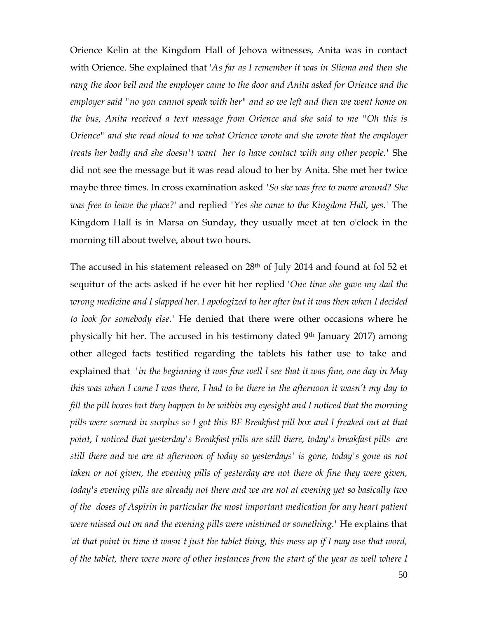Orience Kelin at the Kingdom Hall of Jehova witnesses, Anita was in contact with Orience. She explained that '*As far as I remember it was in Sliema and then she rang the door bell and the employer came to the door and Anita asked for Orience and the employer said "no you cannot speak with her" and so we left and then we went home on the bus, Anita received a text message from Orience and she said to me "Oh this is Orience" and she read aloud to me what Orience wrote and she wrote that the employer treats her badly and she doesn't want her to have contact with any other people.'* She did not see the message but it was read aloud to her by Anita. She met her twice maybe three times. In cross examination asked *'So she was free to move around? She was free to leave the place?*' and replied *'Yes she came to the Kingdom Hall, yes.'* The Kingdom Hall is in Marsa on Sunday, they usually meet at ten o'clock in the morning till about twelve, about two hours.

The accused in his statement released on 28<sup>th</sup> of July 2014 and found at fol 52 et sequitur of the acts asked if he ever hit her replied '*One time she gave my dad the wrong medicine and I slapped her. I apologized to her after but it was then when I decided to look for somebody else.'* He denied that there were other occasions where he physically hit her. The accused in his testimony dated 9th January 2017) among other alleged facts testified regarding the tablets his father use to take and explained that *'in the beginning it was fine well I see that it was fine, one day in May this was when I came I was there, I had to be there in the afternoon it wasn't my day to fill the pill boxes but they happen to be within my eyesight and I noticed that the morning pills were seemed in surplus so I got this BF Breakfast pill box and I freaked out at that point, I noticed that yesterday's Breakfast pills are still there, today's breakfast pills are still there and we are at afternoon of today so yesterdays' is gone, today's gone as not taken or not given, the evening pills of yesterday are not there ok fine they were given, today's evening pills are already not there and we are not at evening yet so basically two of the doses of Aspirin in particular the most important medication for any heart patient were missed out on and the evening pills were mistimed or something.'* He explains that '*at that point in time it wasn't just the tablet thing, this mess up if I may use that word, of the tablet, there were more of other instances from the start of the year as well where I*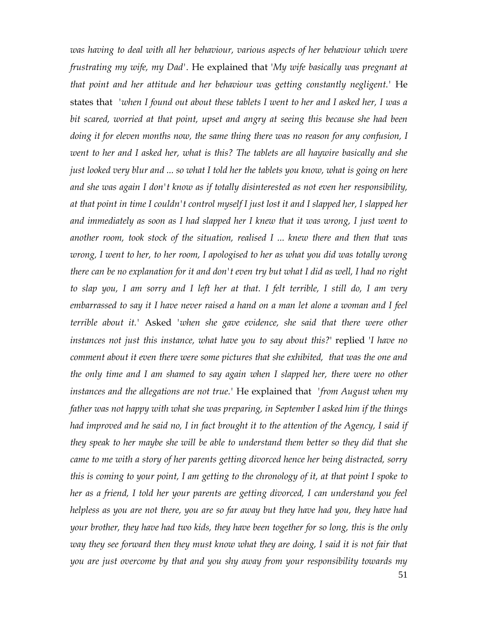*was having to deal with all her behaviour, various aspects of her behaviour which were frustrating my wife, my Dad'*. He explained that '*My wife basically was pregnant at that point and her attitude and her behaviour was getting constantly negligent.'* He states that *'when I found out about these tablets I went to her and I asked her, I was a bit scared, worried at that point, upset and angry at seeing this because she had been doing it for eleven months now, the same thing there was no reason for any confusion, I went to her and I asked her, what is this? The tablets are all haywire basically and she just looked very blur and ... so what I told her the tablets you know, what is going on here and she was again I don't know as if totally disinterested as not even her responsibility, at that point in time I couldn't control myself I just lost it and I slapped her, I slapped her and immediately as soon as I had slapped her I knew that it was wrong, I just went to another room, took stock of the situation, realised I ... knew there and then that was wrong, I went to her, to her room, I apologised to her as what you did was totally wrong there can be no explanation for it and don't even try but what I did as well, I had no right to slap you, I am sorry and I left her at that. I felt terrible, I still do, I am very embarrassed to say it I have never raised a hand on a man let alone a woman and I feel terrible about it.'* Asked *'when she gave evidence, she said that there were other instances not just this instance, what have you to say about this?*' replied '*I have no comment about it even there were some pictures that she exhibited, that was the one and the only time and I am shamed to say again when I slapped her, there were no other instances and the allegations are not true.'* He explained that *'from August when my father was not happy with what she was preparing, in September I asked him if the things had improved and he said no, I in fact brought it to the attention of the Agency, I said if they speak to her maybe she will be able to understand them better so they did that she came to me with a story of her parents getting divorced hence her being distracted, sorry this is coming to your point, I am getting to the chronology of it, at that point I spoke to her as a friend, I told her your parents are getting divorced, I can understand you feel helpless as you are not there, you are so far away but they have had you, they have had your brother, they have had two kids, they have been together for so long, this is the only way they see forward then they must know what they are doing, I said it is not fair that you are just overcome by that and you shy away from your responsibility towards my*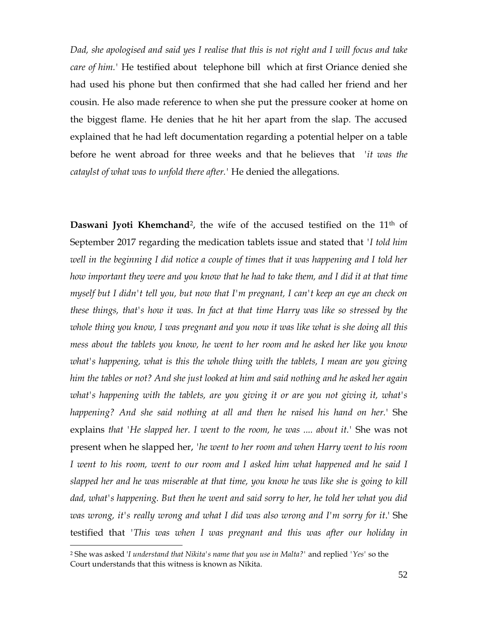*Dad, she apologised and said yes I realise that this is not right and I will focus and take care of him.'* He testified about telephone bill which at first Oriance denied she had used his phone but then confirmed that she had called her friend and her cousin. He also made reference to when she put the pressure cooker at home on the biggest flame. He denies that he hit her apart from the slap. The accused explained that he had left documentation regarding a potential helper on a table before he went abroad for three weeks and that he believes that *'it was the cataylst of what was to unfold there after.'* He denied the allegations.

**Daswani Jyoti Khemchand**<sup>2</sup>, the wife of the accused testified on the 11<sup>th</sup> of September 2017 regarding the medication tablets issue and stated that *'I told him well in the beginning I did notice a couple of times that it was happening and I told her how important they were and you know that he had to take them, and I did it at that time myself but I didn't tell you, but now that I'm pregnant, I can't keep an eye an check on these things, that's how it was. In fact at that time Harry was like so stressed by the whole thing you know, I was pregnant and you now it was like what is she doing all this mess about the tablets you know, he went to her room and he asked her like you know what's happening, what is this the whole thing with the tablets, I mean are you giving him the tables or not? And she just looked at him and said nothing and he asked her again what's happening with the tablets, are you giving it or are you not giving it, what's happening? And she said nothing at all and then he raised his hand on her.*' She explains *that 'He slapped her. I went to the room, he was .... about it.'* She was not present when he slapped her, *'he went to her room and when Harry went to his room I* went to his room, went to our room and *I* asked him what happened and he said *I slapped her and he was miserable at that time, you know he was like she is going to kill dad, what's happening. But then he went and said sorry to her, he told her what you did was wrong, it's really wrong and what I did was also wrong and I'm sorry for it*.' She testified that *'This was when I was pregnant and this was after our holiday in* 

 $\overline{a}$ 

<sup>2</sup> She was asked '*I understand that Nikita's name that you use in Malta?'* and replied *'Yes'* so the Court understands that this witness is known as Nikita.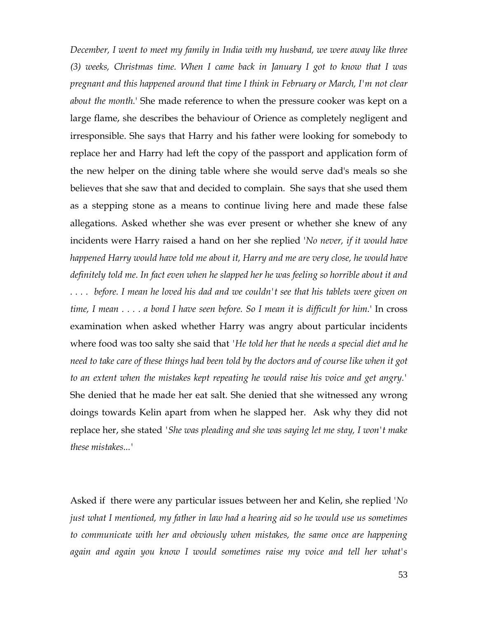*December, I went to meet my family in India with my husband, we were away like three (3) weeks, Christmas time. When I came back in January I got to know that I was pregnant and this happened around that time I think in February or March, I'm not clear about the month.*' She made reference to when the pressure cooker was kept on a large flame, she describes the behaviour of Orience as completely negligent and irresponsible. She says that Harry and his father were looking for somebody to replace her and Harry had left the copy of the passport and application form of the new helper on the dining table where she would serve dad's meals so she believes that she saw that and decided to complain. She says that she used them as a stepping stone as a means to continue living here and made these false allegations. Asked whether she was ever present or whether she knew of any incidents were Harry raised a hand on her she replied '*No never, if it would have happened Harry would have told me about it, Harry and me are very close, he would have definitely told me. In fact even when he slapped her he was feeling so horrible about it and . . . . before. I mean he loved his dad and we couldn't see that his tablets were given on time, I mean . . . . a bond I have seen before. So I mean it is difficult for him.*' In cross examination when asked whether Harry was angry about particular incidents where food was too salty she said that *'He told her that he needs a special diet and he need to take care of these things had been told by the doctors and of course like when it got to an extent when the mistakes kept repeating he would raise his voice and get angry.'* She denied that he made her eat salt. She denied that she witnessed any wrong doings towards Kelin apart from when he slapped her. Ask why they did not replace her, she stated *'She was pleading and she was saying let me stay, I won't make these mistakes...'*

Asked if there were any particular issues between her and Kelin, she replied '*No just what I mentioned, my father in law had a hearing aid so he would use us sometimes to communicate with her and obviously when mistakes, the same once are happening again and again you know I would sometimes raise my voice and tell her what's*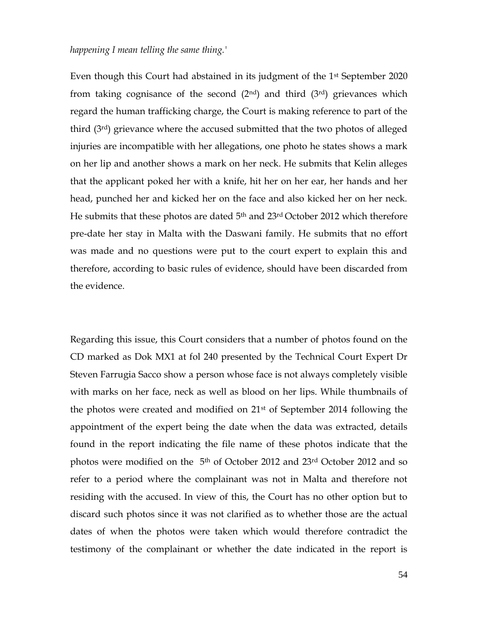### *happening I mean telling the same thing.'*

Even though this Court had abstained in its judgment of the 1st September 2020 from taking cognisance of the second  $(2<sup>nd</sup>)$  and third  $(3<sup>rd</sup>)$  grievances which regard the human trafficking charge, the Court is making reference to part of the third (3rd) grievance where the accused submitted that the two photos of alleged injuries are incompatible with her allegations, one photo he states shows a mark on her lip and another shows a mark on her neck. He submits that Kelin alleges that the applicant poked her with a knife, hit her on her ear, her hands and her head, punched her and kicked her on the face and also kicked her on her neck. He submits that these photos are dated 5<sup>th</sup> and 23<sup>rd</sup> October 2012 which therefore pre-date her stay in Malta with the Daswani family. He submits that no effort was made and no questions were put to the court expert to explain this and therefore, according to basic rules of evidence, should have been discarded from the evidence.

Regarding this issue, this Court considers that a number of photos found on the CD marked as Dok MX1 at fol 240 presented by the Technical Court Expert Dr Steven Farrugia Sacco show a person whose face is not always completely visible with marks on her face, neck as well as blood on her lips. While thumbnails of the photos were created and modified on 21st of September 2014 following the appointment of the expert being the date when the data was extracted, details found in the report indicating the file name of these photos indicate that the photos were modified on the 5<sup>th</sup> of October 2012 and 23<sup>rd</sup> October 2012 and so refer to a period where the complainant was not in Malta and therefore not residing with the accused. In view of this, the Court has no other option but to discard such photos since it was not clarified as to whether those are the actual dates of when the photos were taken which would therefore contradict the testimony of the complainant or whether the date indicated in the report is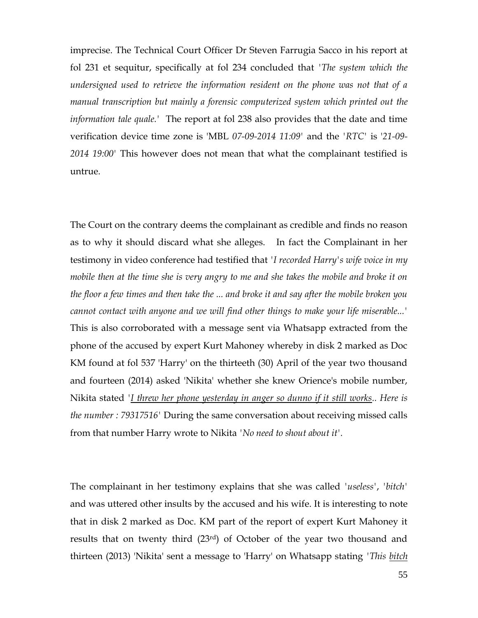imprecise. The Technical Court Officer Dr Steven Farrugia Sacco in his report at fol 231 et sequitur, specifically at fol 234 concluded that *'The system which the undersigned used to retrieve the information resident on the phone was not that of a manual transcription but mainly a forensic computerized system which printed out the information tale quale.'* The report at fol 238 also provides that the date and time verification device time zone is 'MBL *07-09-2014 11:09'* and the *'RTC'* is '*21-09- 2014 19:00'* This however does not mean that what the complainant testified is untrue.

The Court on the contrary deems the complainant as credible and finds no reason as to why it should discard what she alleges. In fact the Complainant in her testimony in video conference had testified that *'I recorded Harry's wife voice in my mobile then at the time she is very angry to me and she takes the mobile and broke it on the floor a few times and then take the ... and broke it and say after the mobile broken you cannot contact with anyone and we will find other things to make your life miserable...'* This is also corroborated with a message sent via Whatsapp extracted from the phone of the accused by expert Kurt Mahoney whereby in disk 2 marked as Doc KM found at fol 537 'Harry' on the thirteeth (30) April of the year two thousand and fourteen (2014) asked 'Nikita' whether she knew Orience's mobile number, Nikita stated *'I threw her phone yesterday in anger so dunno if it still works.. Here is the number : 79317516'* During the same conversation about receiving missed calls from that number Harry wrote to Nikita *'No need to shout about it'.*

The complainant in her testimony explains that she was called *'useless'*, *'bitch'* and was uttered other insults by the accused and his wife. It is interesting to note that in disk 2 marked as Doc. KM part of the report of expert Kurt Mahoney it results that on twenty third (23rd) of October of the year two thousand and thirteen (2013) 'Nikita' sent a message to 'Harry' on Whatsapp stating *'This bitch*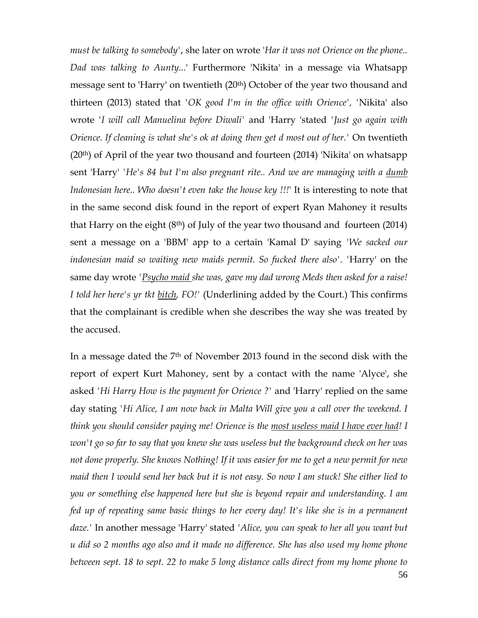*must be talking to somebody'*, she later on wrote '*Har it was not Orience on the phone.. Dad was talking to Aunty...*' Furthermore 'Nikita' in a message via Whatsapp message sent to 'Harry' on twentieth (20<sup>th</sup>) October of the year two thousand and thirteen (2013) stated that *'OK good I'm in the office with Orience', '*Nikita' also wrote *'I will call Manuelina before Diwali'* and 'Harry 'stated *'Just go again with Orience. If cleaning is what she's ok at doing then get d most out of her.'* On twentieth  $(20<sup>th</sup>)$  of April of the year two thousand and fourteen  $(2014)$  'Nikita' on whatsapp sent 'Harry' *'He's 84 but I'm also pregnant rite.. And we are managing with a dumb Indonesian here.. Who doesn't even take the house key !!!*' It is interesting to note that in the same second disk found in the report of expert Ryan Mahoney it results that Harry on the eight  $(8<sup>th</sup>)$  of July of the year two thousand and fourteen  $(2014)$ sent a message on a 'BBM' app to a certain 'Kamal D' saying *'We sacked our indonesian maid so waiting new maids permit. So fucked there also'. '*Harry' on the same day wrote *'Psycho maid she was, gave my dad wrong Meds then asked for a raise! I told her here's yr tkt bitch, FO!'* (Underlining added by the Court.) This confirms that the complainant is credible when she describes the way she was treated by the accused.

In a message dated the 7th of November 2013 found in the second disk with the report of expert Kurt Mahoney, sent by a contact with the name 'Alyce', she asked *'Hi Harry How is the payment for Orience ?'* and 'Harry' replied on the same day stating *'Hi Alice, I am now back in Malta Will give you a call over the weekend. I think you should consider paying me! Orience is the most useless maid I have ever had! I won't go so far to say that you knew she was useless but the background check on her was not done properly. She knows Nothing! If it was easier for me to get a new permit for new maid then I would send her back but it is not easy. So now I am stuck! She either lied to you or something else happened here but she is beyond repair and understanding. I am fed up of repeating same basic things to her every day! It's like she is in a permanent daze.'* In another message 'Harry' stated *'Alice, you can speak to her all you want but u did so 2 months ago also and it made no difference. She has also used my home phone between sept. 18 to sept. 22 to make 5 long distance calls direct from my home phone to* 

56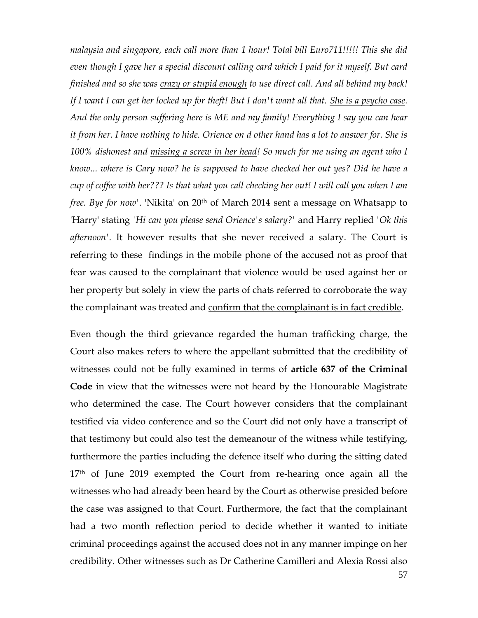*malaysia and singapore, each call more than 1 hour! Total bill Euro711!!!!! This she did even though I gave her a special discount calling card which I paid for it myself. But card finished and so she was crazy or stupid enough to use direct call. And all behind my back! If I want I can get her locked up for theft! But I don't want all that. She is a psycho case. And the only person suffering here is ME and my family! Everything I say you can hear it from her. I have nothing to hide. Orience on d other hand has a lot to answer for. She is 100% dishonest and missing a screw in her head! So much for me using an agent who I know... where is Gary now? he is supposed to have checked her out yes? Did he have a cup of coffee with her??? Is that what you call checking her out! I will call you when I am free. Bye for now'.* 'Nikita' on 20<sup>th</sup> of March 2014 sent a message on Whatsapp to 'Harry' stating *'Hi can you please send Orience's salary?'* and Harry replied *'Ok this afternoon'.* It however results that she never received a salary. The Court is referring to these findings in the mobile phone of the accused not as proof that fear was caused to the complainant that violence would be used against her or her property but solely in view the parts of chats referred to corroborate the way the complainant was treated and confirm that the complainant is in fact credible.

Even though the third grievance regarded the human trafficking charge, the Court also makes refers to where the appellant submitted that the credibility of witnesses could not be fully examined in terms of **article 637 of the Criminal Code** in view that the witnesses were not heard by the Honourable Magistrate who determined the case. The Court however considers that the complainant testified via video conference and so the Court did not only have a transcript of that testimony but could also test the demeanour of the witness while testifying, furthermore the parties including the defence itself who during the sitting dated 17<sup>th</sup> of June 2019 exempted the Court from re-hearing once again all the witnesses who had already been heard by the Court as otherwise presided before the case was assigned to that Court. Furthermore, the fact that the complainant had a two month reflection period to decide whether it wanted to initiate criminal proceedings against the accused does not in any manner impinge on her credibility. Other witnesses such as Dr Catherine Camilleri and Alexia Rossi also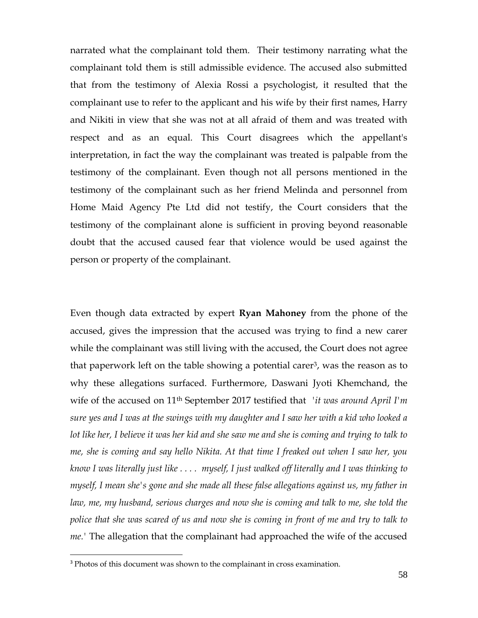narrated what the complainant told them. Their testimony narrating what the complainant told them is still admissible evidence. The accused also submitted that from the testimony of Alexia Rossi a psychologist, it resulted that the complainant use to refer to the applicant and his wife by their first names, Harry and Nikiti in view that she was not at all afraid of them and was treated with respect and as an equal. This Court disagrees which the appellant's interpretation, in fact the way the complainant was treated is palpable from the testimony of the complainant. Even though not all persons mentioned in the testimony of the complainant such as her friend Melinda and personnel from Home Maid Agency Pte Ltd did not testify, the Court considers that the testimony of the complainant alone is sufficient in proving beyond reasonable doubt that the accused caused fear that violence would be used against the person or property of the complainant.

Even though data extracted by expert **Ryan Mahoney** from the phone of the accused, gives the impression that the accused was trying to find a new carer while the complainant was still living with the accused, the Court does not agree that paperwork left on the table showing a potential carer<sup>3</sup>, was the reason as to why these allegations surfaced. Furthermore, Daswani Jyoti Khemchand, the wife of the accused on 11th September 2017 testified that *'it was around April I'm sure yes and I was at the swings with my daughter and I saw her with a kid who looked a lot like her, I believe it was her kid and she saw me and she is coming and trying to talk to me, she is coming and say hello Nikita. At that time I freaked out when I saw her, you know I was literally just like . . . . myself, I just walked off literally and I was thinking to myself, I mean she's gone and she made all these false allegations against us, my father in law, me, my husband, serious charges and now she is coming and talk to me, she told the police that she was scared of us and now she is coming in front of me and try to talk to me.'* The allegation that the complainant had approached the wife of the accused

 $\overline{a}$ 

<sup>&</sup>lt;sup>3</sup> Photos of this document was shown to the complainant in cross examination.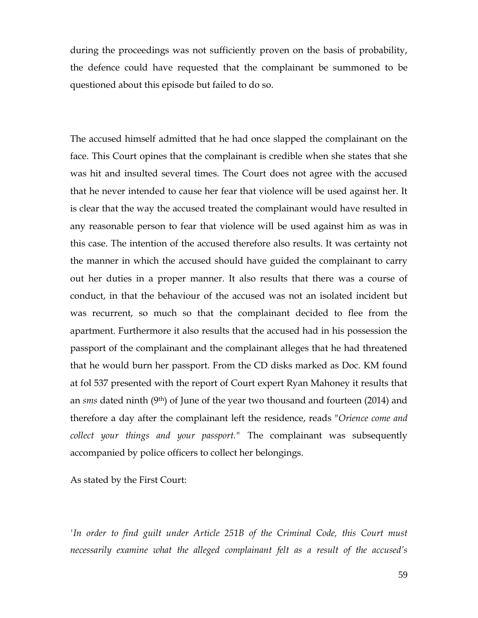during the proceedings was not sufficiently proven on the basis of probability, the defence could have requested that the complainant be summoned to be questioned about this episode but failed to do so.

The accused himself admitted that he had once slapped the complainant on the face. This Court opines that the complainant is credible when she states that she was hit and insulted several times. The Court does not agree with the accused that he never intended to cause her fear that violence will be used against her. It is clear that the way the accused treated the complainant would have resulted in any reasonable person to fear that violence will be used against him as was in this case. The intention of the accused therefore also results. It was certainty not the manner in which the accused should have guided the complainant to carry out her duties in a proper manner. It also results that there was a course of conduct, in that the behaviour of the accused was not an isolated incident but was recurrent, so much so that the complainant decided to flee from the apartment. Furthermore it also results that the accused had in his possession the passport of the complainant and the complainant alleges that he had threatened that he would burn her passport. From the CD disks marked as Doc. KM found at fol 537 presented with the report of Court expert Ryan Mahoney it results that an *sms* dated ninth (9th) of June of the year two thousand and fourteen (2014) and therefore a day after the complainant left the residence, reads "*Orience come and collect your things and your passport."* The complainant was subsequently accompanied by police officers to collect her belongings.

As stated by the First Court:

*'In order to find guilt under Article 251B of the Criminal Code, this Court must necessarily examine what the alleged complainant felt as a result of the accused's*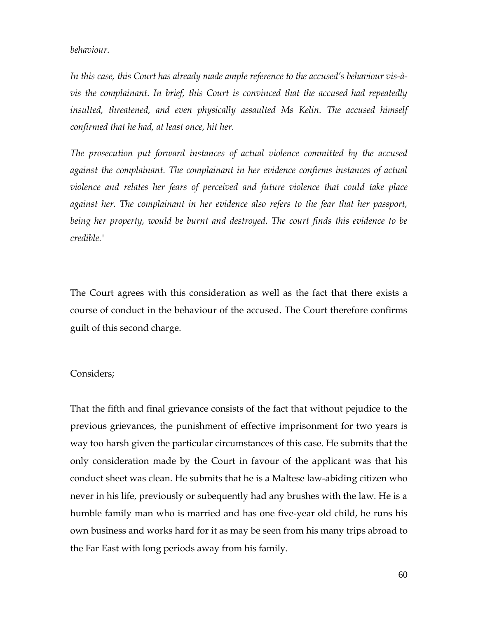#### *behaviour.*

*In this case, this Court has already made ample reference to the accused's behaviour vis-àvis the complainant. In brief, this Court is convinced that the accused had repeatedly insulted, threatened, and even physically assaulted Ms Kelin. The accused himself confirmed that he had, at least once, hit her.* 

*The prosecution put forward instances of actual violence committed by the accused against the complainant. The complainant in her evidence confirms instances of actual violence and relates her fears of perceived and future violence that could take place against her. The complainant in her evidence also refers to the fear that her passport, being her property, would be burnt and destroyed. The court finds this evidence to be credible.'* 

The Court agrees with this consideration as well as the fact that there exists a course of conduct in the behaviour of the accused. The Court therefore confirms guilt of this second charge.

### Considers;

That the fifth and final grievance consists of the fact that without pejudice to the previous grievances, the punishment of effective imprisonment for two years is way too harsh given the particular circumstances of this case. He submits that the only consideration made by the Court in favour of the applicant was that his conduct sheet was clean. He submits that he is a Maltese law-abiding citizen who never in his life, previously or subequently had any brushes with the law. He is a humble family man who is married and has one five-year old child, he runs his own business and works hard for it as may be seen from his many trips abroad to the Far East with long periods away from his family.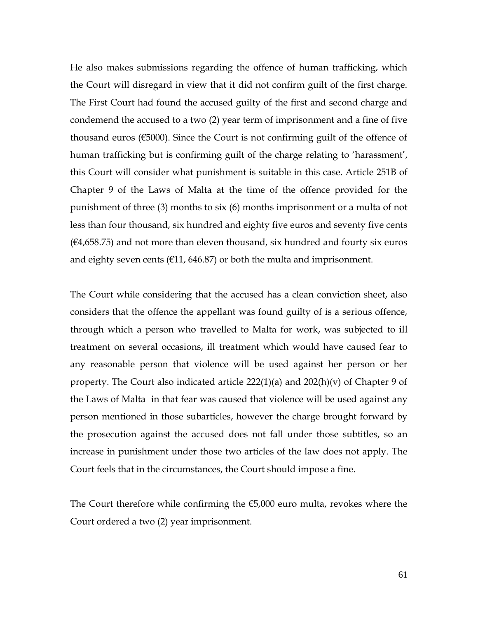He also makes submissions regarding the offence of human trafficking, which the Court will disregard in view that it did not confirm guilt of the first charge. The First Court had found the accused guilty of the first and second charge and condemend the accused to a two (2) year term of imprisonment and a fine of five thousand euros (€5000). Since the Court is not confirming guilt of the offence of human trafficking but is confirming guilt of the charge relating to 'harassment', this Court will consider what punishment is suitable in this case. Article 251B of Chapter 9 of the Laws of Malta at the time of the offence provided for the punishment of three (3) months to six (6) months imprisonment or a multa of not less than four thousand, six hundred and eighty five euros and seventy five cents  $(64,658.75)$  and not more than eleven thousand, six hundred and fourty six euros and eighty seven cents ( $\epsilon$ 11, 646.87) or both the multa and imprisonment.

The Court while considering that the accused has a clean conviction sheet, also considers that the offence the appellant was found guilty of is a serious offence, through which a person who travelled to Malta for work, was subjected to ill treatment on several occasions, ill treatment which would have caused fear to any reasonable person that violence will be used against her person or her property. The Court also indicated article 222(1)(a) and 202(h)(v) of Chapter 9 of the Laws of Malta in that fear was caused that violence will be used against any person mentioned in those subarticles, however the charge brought forward by the prosecution against the accused does not fall under those subtitles, so an increase in punishment under those two articles of the law does not apply. The Court feels that in the circumstances, the Court should impose a fine.

The Court therefore while confirming the €5,000 euro multa, revokes where the Court ordered a two (2) year imprisonment.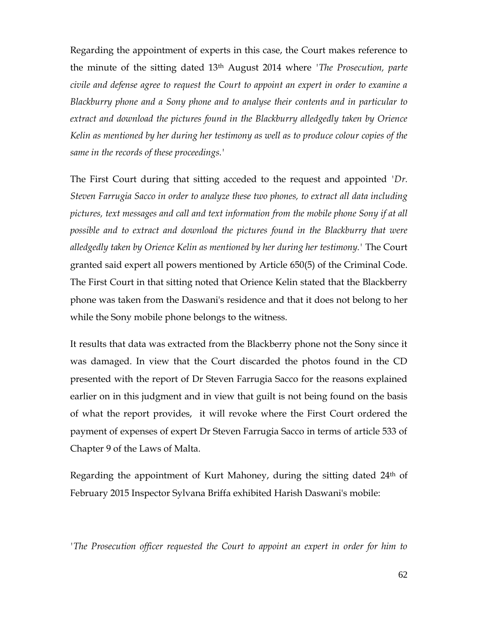Regarding the appointment of experts in this case, the Court makes reference to the minute of the sitting dated 13th August 2014 where *'The Prosecution, parte civile and defense agree to request the Court to appoint an expert in order to examine a Blackburry phone and a Sony phone and to analyse their contents and in particular to extract and download the pictures found in the Blackburry alledgedly taken by Orience Kelin as mentioned by her during her testimony as well as to produce colour copies of the same in the records of these proceedings.'*

The First Court during that sitting acceded to the request and appointed *'Dr. Steven Farrugia Sacco in order to analyze these two phones, to extract all data including pictures, text messages and call and text information from the mobile phone Sony if at all possible and to extract and download the pictures found in the Blackburry that were alledgedly taken by Orience Kelin as mentioned by her during her testimony.'* The Court granted said expert all powers mentioned by Article 650(5) of the Criminal Code. The First Court in that sitting noted that Orience Kelin stated that the Blackberry phone was taken from the Daswani's residence and that it does not belong to her while the Sony mobile phone belongs to the witness.

It results that data was extracted from the Blackberry phone not the Sony since it was damaged. In view that the Court discarded the photos found in the CD presented with the report of Dr Steven Farrugia Sacco for the reasons explained earlier on in this judgment and in view that guilt is not being found on the basis of what the report provides, it will revoke where the First Court ordered the payment of expenses of expert Dr Steven Farrugia Sacco in terms of article 533 of Chapter 9 of the Laws of Malta.

Regarding the appointment of Kurt Mahoney, during the sitting dated 24<sup>th</sup> of February 2015 Inspector Sylvana Briffa exhibited Harish Daswani's mobile:

*'The Prosecution officer requested the Court to appoint an expert in order for him to*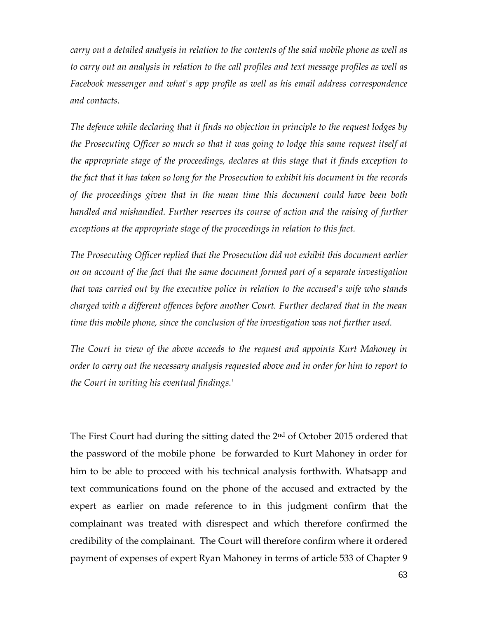*carry out a detailed analysis in relation to the contents of the said mobile phone as well as to carry out an analysis in relation to the call profiles and text message profiles as well as Facebook messenger and what's app profile as well as his email address correspondence and contacts.*

*The defence while declaring that it finds no objection in principle to the request lodges by the Prosecuting Officer so much so that it was going to lodge this same request itself at the appropriate stage of the proceedings, declares at this stage that it finds exception to the fact that it has taken so long for the Prosecution to exhibit his document in the records of the proceedings given that in the mean time this document could have been both handled and mishandled. Further reserves its course of action and the raising of further exceptions at the appropriate stage of the proceedings in relation to this fact.*

*The Prosecuting Officer replied that the Prosecution did not exhibit this document earlier on on account of the fact that the same document formed part of a separate investigation that was carried out by the executive police in relation to the accused's wife who stands charged with a different offences before another Court. Further declared that in the mean time this mobile phone, since the conclusion of the investigation was not further used.*

*The Court in view of the above acceeds to the request and appoints Kurt Mahoney in order to carry out the necessary analysis requested above and in order for him to report to the Court in writing his eventual findings.'*

The First Court had during the sitting dated the 2<sup>nd</sup> of October 2015 ordered that the password of the mobile phone be forwarded to Kurt Mahoney in order for him to be able to proceed with his technical analysis forthwith. Whatsapp and text communications found on the phone of the accused and extracted by the expert as earlier on made reference to in this judgment confirm that the complainant was treated with disrespect and which therefore confirmed the credibility of the complainant. The Court will therefore confirm where it ordered payment of expenses of expert Ryan Mahoney in terms of article 533 of Chapter 9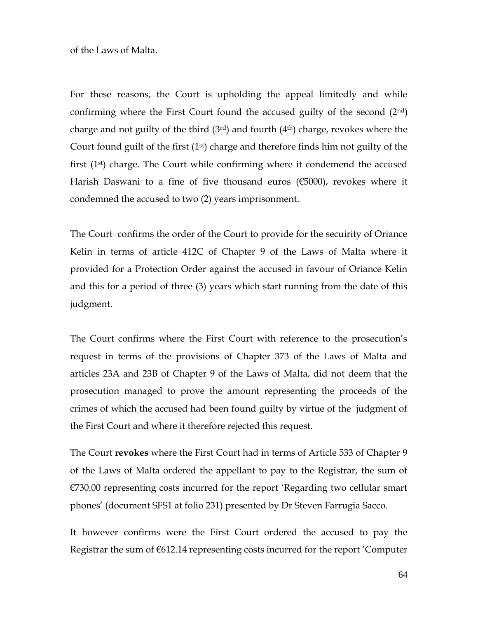of the Laws of Malta.

For these reasons, the Court is upholding the appeal limitedly and while confirming where the First Court found the accused guilty of the second  $(2<sup>nd</sup>)$ charge and not guilty of the third  $(3<sup>rd</sup>)$  and fourth  $(4<sup>th</sup>)$  charge, revokes where the Court found guilt of the first  $(1<sup>st</sup>)$  charge and therefore finds him not guilty of the first (1st) charge. The Court while confirming where it condemend the accused Harish Daswani to a fine of five thousand euros (€5000), revokes where it condemned the accused to two (2) years imprisonment.

The Court confirms the order of the Court to provide for the secuirity of Oriance Kelin in terms of article 412C of Chapter 9 of the Laws of Malta where it provided for a Protection Order against the accused in favour of Oriance Kelin and this for a period of three (3) years which start running from the date of this judgment.

The Court confirms where the First Court with reference to the prosecution's request in terms of the provisions of Chapter 373 of the Laws of Malta and articles 23A and 23B of Chapter 9 of the Laws of Malta, did not deem that the prosecution managed to prove the amount representing the proceeds of the crimes of which the accused had been found guilty by virtue of the judgment of the First Court and where it therefore rejected this request.

The Court **revokes** where the First Court had in terms of Article 533 of Chapter 9 of the Laws of Malta ordered the appellant to pay to the Registrar, the sum of €730.00 representing costs incurred for the report 'Regarding two cellular smart phones' (document SFS1 at folio 231) presented by Dr Steven Farrugia Sacco.

It however confirms were the First Court ordered the accused to pay the Registrar the sum of  $6612.14$  representing costs incurred for the report 'Computer